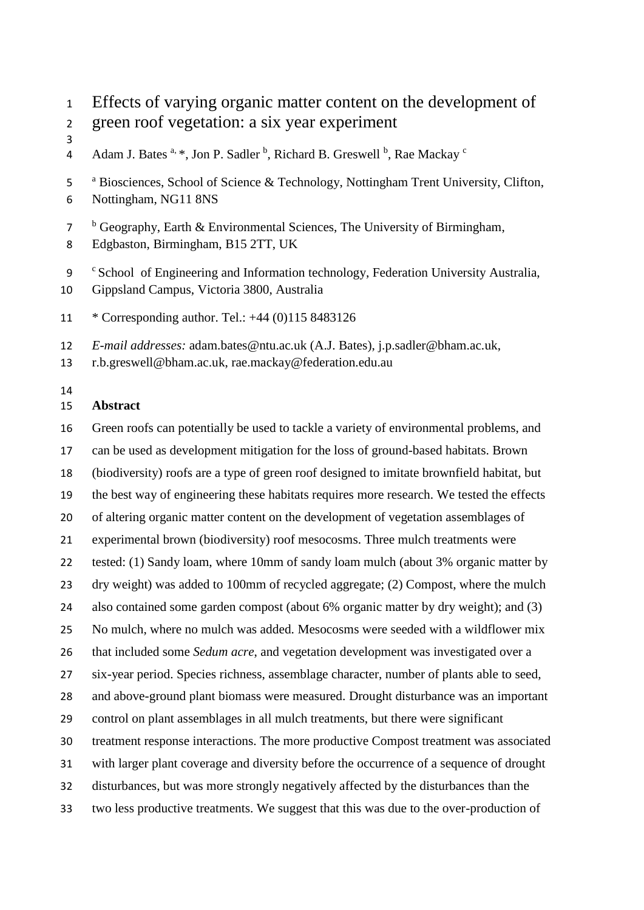Effects of varying organic matter content on the development of green roof vegetation: a six year experiment

- 
- Adam J. Bates <sup>a, \*</sup>, Jon P. Sadler <sup>b</sup>, Richard B. Greswell <sup>b</sup>, Rae Mackay <sup>c</sup>
- <sup>a</sup> Biosciences, School of Science & Technology, Nottingham Trent University, Clifton, Nottingham, NG11 8NS
- <sup>b</sup> Geography, Earth & Environmental Sciences, The University of Birmingham,
- Edgbaston, Birmingham, B15 2TT, UK
- 9 Cschool of Engineering and Information technology, Federation University Australia, Gippsland Campus, Victoria 3800, Australia
- \* Corresponding author. Tel.: +44 (0)115 8483126
- *E-mail addresses:* adam.bates@ntu.ac.uk (A.J. Bates), j.p.sadler@bham.ac.uk,

r.b.greswell@bham.ac.uk, rae.mackay@federation.edu.au

## **Abstract**

 Green roofs can potentially be used to tackle a variety of environmental problems, and can be used as development mitigation for the loss of ground-based habitats. Brown (biodiversity) roofs are a type of green roof designed to imitate brownfield habitat, but the best way of engineering these habitats requires more research. We tested the effects of altering organic matter content on the development of vegetation assemblages of experimental brown (biodiversity) roof mesocosms. Three mulch treatments were tested: (1) Sandy loam, where 10mm of sandy loam mulch (about 3% organic matter by dry weight) was added to 100mm of recycled aggregate; (2) Compost, where the mulch also contained some garden compost (about 6% organic matter by dry weight); and (3) No mulch, where no mulch was added. Mesocosms were seeded with a wildflower mix that included some *Sedum acre*, and vegetation development was investigated over a six-year period. Species richness, assemblage character, number of plants able to seed, and above-ground plant biomass were measured. Drought disturbance was an important control on plant assemblages in all mulch treatments, but there were significant treatment response interactions. The more productive Compost treatment was associated with larger plant coverage and diversity before the occurrence of a sequence of drought disturbances, but was more strongly negatively affected by the disturbances than the two less productive treatments. We suggest that this was due to the over-production of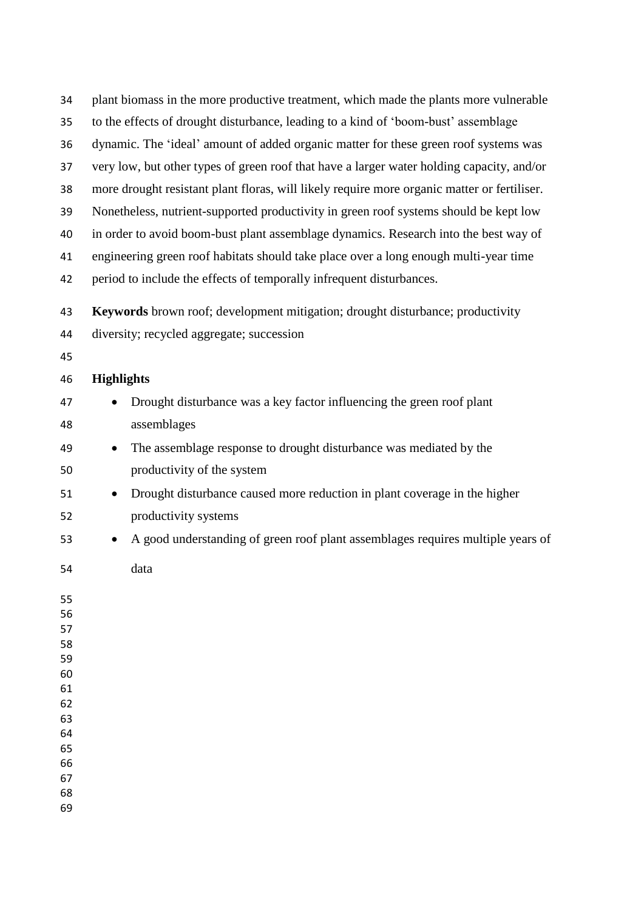| 34       |                   | plant biomass in the more productive treatment, which made the plants more vulnerable       |
|----------|-------------------|---------------------------------------------------------------------------------------------|
| 35       |                   | to the effects of drought disturbance, leading to a kind of 'boom-bust' assemblage          |
| 36       |                   | dynamic. The 'ideal' amount of added organic matter for these green roof systems was        |
| 37       |                   | very low, but other types of green roof that have a larger water holding capacity, and/or   |
| 38       |                   | more drought resistant plant floras, will likely require more organic matter or fertiliser. |
| 39       |                   | Nonetheless, nutrient-supported productivity in green roof systems should be kept low       |
| 40       |                   | in order to avoid boom-bust plant assemblage dynamics. Research into the best way of        |
| 41       |                   | engineering green roof habitats should take place over a long enough multi-year time        |
| 42       |                   | period to include the effects of temporally infrequent disturbances.                        |
| 43       |                   | Keywords brown roof; development mitigation; drought disturbance; productivity              |
| 44       |                   | diversity; recycled aggregate; succession                                                   |
| 45       |                   |                                                                                             |
| 46       | <b>Highlights</b> |                                                                                             |
| 47       | $\bullet$         | Drought disturbance was a key factor influencing the green roof plant                       |
| 48       |                   | assemblages                                                                                 |
| 49       | $\bullet$         | The assemblage response to drought disturbance was mediated by the                          |
| 50       |                   | productivity of the system                                                                  |
| 51       | ٠                 | Drought disturbance caused more reduction in plant coverage in the higher                   |
| 52       |                   | productivity systems                                                                        |
| 53       | $\bullet$         | A good understanding of green roof plant assemblages requires multiple years of             |
| 54       |                   | data                                                                                        |
| 55       |                   |                                                                                             |
| 56<br>57 |                   |                                                                                             |
| 58       |                   |                                                                                             |
| 59       |                   |                                                                                             |
| 60<br>61 |                   |                                                                                             |
| 62       |                   |                                                                                             |
| 63       |                   |                                                                                             |
| 64       |                   |                                                                                             |
| 65<br>66 |                   |                                                                                             |
| 67       |                   |                                                                                             |
| 68       |                   |                                                                                             |
| 69       |                   |                                                                                             |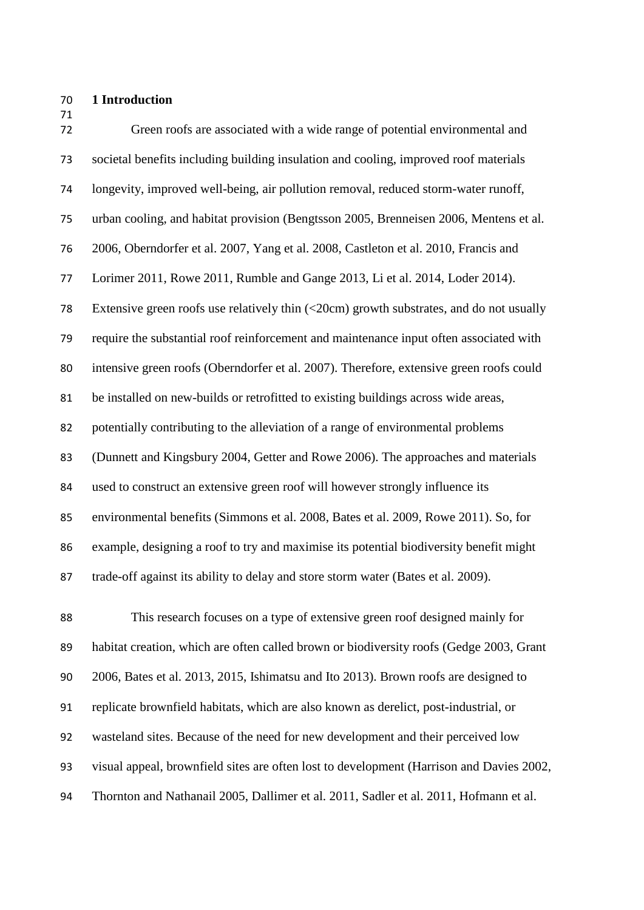#### **1 Introduction**

| 71<br>72 | Green roofs are associated with a wide range of potential environmental and                      |
|----------|--------------------------------------------------------------------------------------------------|
| 73       | societal benefits including building insulation and cooling, improved roof materials             |
| 74       | longevity, improved well-being, air pollution removal, reduced storm-water runoff,               |
| 75       | urban cooling, and habitat provision (Bengtsson 2005, Brenneisen 2006, Mentens et al.            |
| 76       | 2006, Oberndorfer et al. 2007, Yang et al. 2008, Castleton et al. 2010, Francis and              |
| 77       | Lorimer 2011, Rowe 2011, Rumble and Gange 2013, Li et al. 2014, Loder 2014).                     |
| 78       | Extensive green roofs use relatively thin $\left($ < 20cm) growth substrates, and do not usually |
| 79       | require the substantial roof reinforcement and maintenance input often associated with           |
| 80       | intensive green roofs (Oberndorfer et al. 2007). Therefore, extensive green roofs could          |
| 81       | be installed on new-builds or retrofitted to existing buildings across wide areas,               |
| 82       | potentially contributing to the alleviation of a range of environmental problems                 |
| 83       | (Dunnett and Kingsbury 2004, Getter and Rowe 2006). The approaches and materials                 |
| 84       | used to construct an extensive green roof will however strongly influence its                    |
| 85       | environmental benefits (Simmons et al. 2008, Bates et al. 2009, Rowe 2011). So, for              |
| 86       | example, designing a roof to try and maximise its potential biodiversity benefit might           |
| 87       | trade-off against its ability to delay and store storm water (Bates et al. 2009).                |

 This research focuses on a type of extensive green roof designed mainly for habitat creation, which are often called brown or biodiversity roofs [\(Gedge 2003,](#page-24-2) [Grant](#page-24-3)  [2006,](#page-24-3) [Bates et al. 2013,](#page-23-5) 2015, [Ishimatsu and Ito 2013\)](#page-24-4). Brown roofs are designed to replicate brownfield habitats, which are also known as derelict, post-industrial, or wasteland sites. Because of the need for new development and their perceived low visual appeal, brownfield sites are often lost to development [\(Harrison and Davies 2002,](#page-24-5) [Thornton and Nathanail 2005,](#page-26-3) [Dallimer et al. 2011,](#page-23-6) [Sadler et al. 2011,](#page-26-4) [Hofmann et al.](#page-24-6)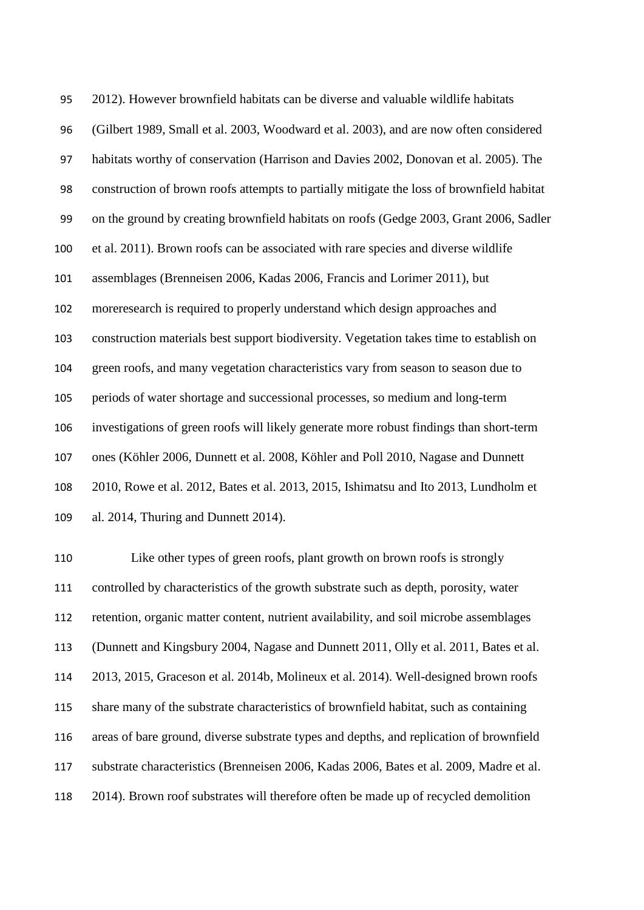[2012\)](#page-24-6). However brownfield habitats can be diverse and valuable wildlife habitats [\(Gilbert 1989,](#page-24-7) [Small et al. 2003,](#page-26-5) [Woodward et al. 2003\)](#page-26-6), and are now often considered habitats worthy of conservation [\(Harrison and Davies 2002,](#page-24-5) [Donovan et al. 2005\)](#page-23-7). The construction of brown roofs attempts to partially mitigate the loss of brownfield habitat on the ground by creating brownfield habitats on roofs [\(Gedge 2003,](#page-24-2) [Grant 2006,](#page-24-3) [Sadler](#page-26-4)  [et al. 2011\)](#page-26-4). Brown roofs can be associated with rare species and diverse wildlife assemblages [\(Brenneisen 2006,](#page-23-1) [Kadas 2006,](#page-24-8) [Francis and Lorimer 2011\)](#page-24-0), but moreresearch is required to properly understand which design approaches and construction materials best support biodiversity. Vegetation takes time to establish on green roofs, and many vegetation characteristics vary from season to season due to periods of water shortage and successional processes, so medium and long-term investigations of green roofs will likely generate more robust findings than short-term ones [\(Köhler 2006,](#page-24-9) [Dunnett et al. 2008,](#page-23-8) [Köhler and](#page-24-10) Poll 2010, [Nagase and Dunnett](#page-25-5)  [2010,](#page-25-5) [Rowe et al. 2012,](#page-26-7) [Bates et al. 2013,](#page-23-5) 2015, [Ishimatsu and Ito 2013,](#page-24-4) [Lundholm et](#page-25-6)  [al. 2014,](#page-25-6) [Thuring and Dunnett 2014\)](#page-26-8).

 Like other types of green roofs, plant growth on brown roofs is strongly controlled by characteristics of the growth substrate such as depth, porosity, water retention, organic matter content, nutrient availability, and soil microbe assemblages [\(Dunnett and Kingsbury 2004,](#page-23-3) [Nagase and Dunnett 2011,](#page-25-7) [Olly et al. 2011,](#page-25-8) [Bates et al.](#page-23-5)  [2013,](#page-23-5) 2015, [Graceson et al. 2014b,](#page-24-11) Molineux et al. 2014). Well-designed brown roofs share many of the substrate characteristics of brownfield habitat, such as containing areas of bare ground, diverse substrate types and depths, and replication of brownfield substrate characteristics [\(Brenneisen 2006,](#page-23-1) [Kadas 2006,](#page-24-8) [Bates et al. 2009,](#page-23-4) [Madre et al.](#page-25-9)  [2014\)](#page-25-9). Brown roof substrates will therefore often be made up of recycled demolition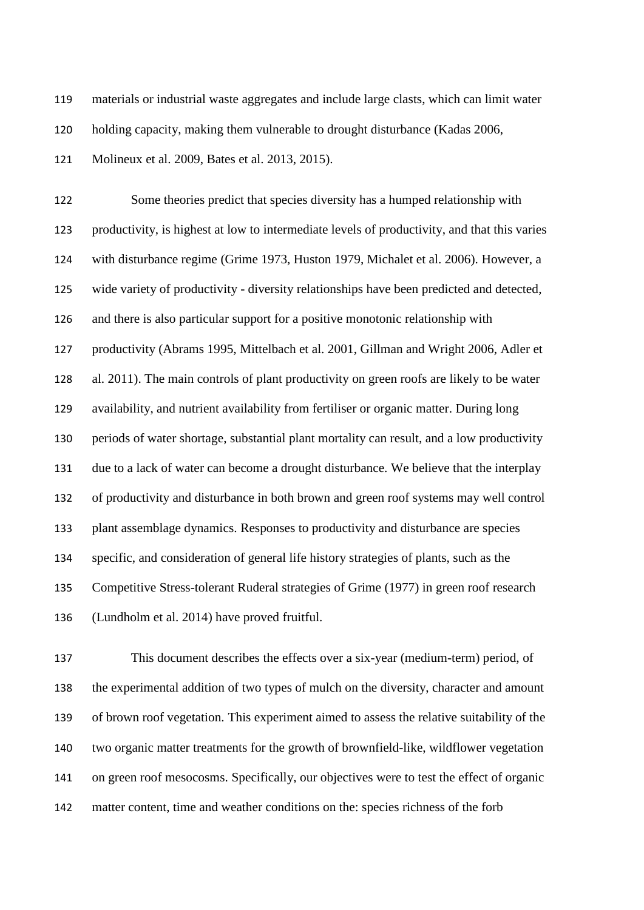materials or industrial waste aggregates and include large clasts, which can limit water

holding capacity, making them vulnerable to drought disturbance [\(Kadas 2006,](#page-24-8)

[Molineux et al. 2009,](#page-25-10) [Bates et al. 2013,](#page-23-5) 2015).

 Some theories predict that species diversity has a humped relationship with productivity, is highest at low to intermediate levels of productivity, and that this varies with disturbance regime [\(Grime 1973,](#page-24-12) [Huston 1979,](#page-24-13) [Michalet et al. 2006\)](#page-25-11). However, a wide variety of productivity - diversity relationships have been predicted and detected, and there is also particular support for a positive monotonic relationship with productivity [\(Abrams 1995,](#page-23-9) [Mittelbach et al. 2001,](#page-25-12) [Gillman and Wright 2006,](#page-24-14) [Adler et](#page-23-10)  [al. 2011\)](#page-23-10). The main controls of plant productivity on green roofs are likely to be water availability, and nutrient availability from fertiliser or organic matter. During long periods of water shortage, substantial plant mortality can result, and a low productivity due to a lack of water can become a drought disturbance. We believe that the interplay of productivity and disturbance in both brown and green roof systems may well control plant assemblage dynamics. Responses to productivity and disturbance are species specific, and consideration of general life history strategies of plants, such as the Competitive Stress-tolerant Ruderal strategies of Grime [\(1977\)](#page-24-15) in green roof research [\(Lundholm et al. 2014\)](#page-25-6) have proved fruitful.

 This document describes the effects over a six-year (medium-term) period, of the experimental addition of two types of mulch on the diversity, character and amount of brown roof vegetation. This experiment aimed to assess the relative suitability of the two organic matter treatments for the growth of brownfield-like, wildflower vegetation on green roof mesocosms. Specifically, our objectives were to test the effect of organic matter content, time and weather conditions on the: species richness of the forb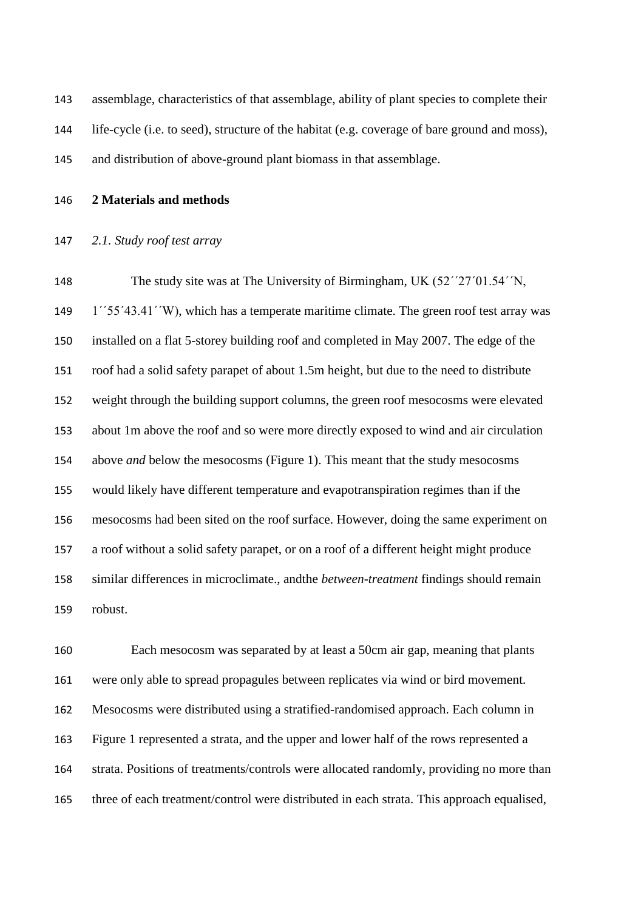assemblage, characteristics of that assemblage, ability of plant species to complete their life-cycle (i.e. to seed), structure of the habitat (e.g. coverage of bare ground and moss), and distribution of above-ground plant biomass in that assemblage.

**2 Materials and methods**

#### *2.1. Study roof test array*

 The study site was at The University of Birmingham, UK (52΄΄27΄01.54΄΄N, 1΄΄55΄43.41΄΄W), which has a temperate maritime climate. The green roof test array was installed on a flat 5-storey building roof and completed in May 2007. The edge of the roof had a solid safety parapet of about 1.5m height, but due to the need to distribute weight through the building support columns, the green roof mesocosms were elevated about 1m above the roof and so were more directly exposed to wind and air circulation above *and* below the mesocosms (Figure 1). This meant that the study mesocosms would likely have different temperature and evapotranspiration regimes than if the mesocosms had been sited on the roof surface. However, doing the same experiment on a roof without a solid safety parapet, or on a roof of a different height might produce similar differences in microclimate., andthe *between-treatment* findings should remain robust.

 Each mesocosm was separated by at least a 50cm air gap, meaning that plants were only able to spread propagules between replicates via wind or bird movement. Mesocosms were distributed using a stratified-randomised approach. Each column in Figure 1 represented a strata, and the upper and lower half of the rows represented a strata. Positions of treatments/controls were allocated randomly, providing no more than three of each treatment/control were distributed in each strata. This approach equalised,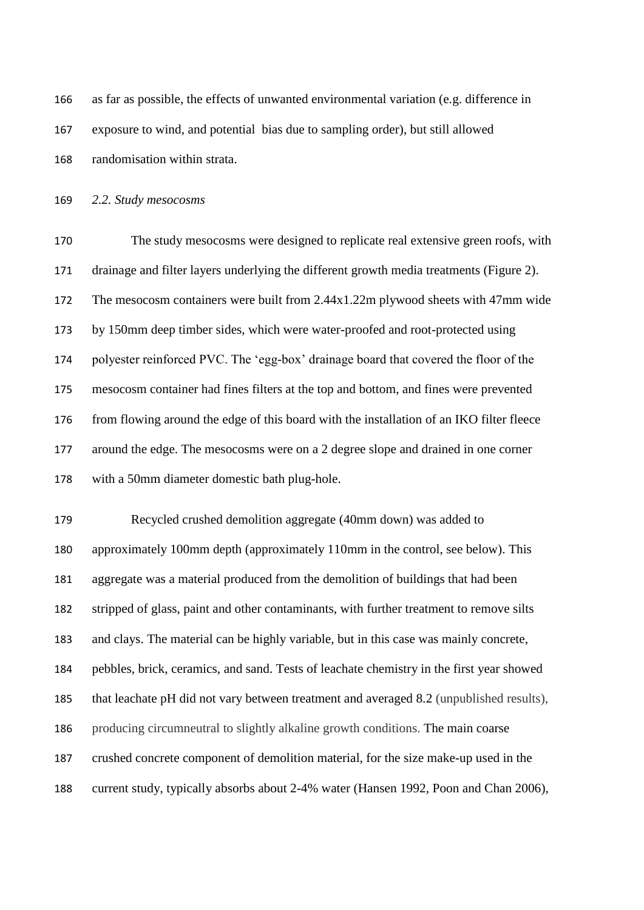| 166 | as far as possible, the effects of unwanted environmental variation (e.g. difference in |
|-----|-----------------------------------------------------------------------------------------|
| 167 | exposure to wind, and potential bias due to sampling order), but still allowed          |
| 168 | randomisation within strata.                                                            |

*2.2. Study mesocosms*

 The study mesocosms were designed to replicate real extensive green roofs, with drainage and filter layers underlying the different growth media treatments (Figure 2). The mesocosm containers were built from 2.44x1.22m plywood sheets with 47mm wide by 150mm deep timber sides, which were water-proofed and root-protected using polyester reinforced PVC. The 'egg-box' drainage board that covered the floor of the mesocosm container had fines filters at the top and bottom, and fines were prevented 176 from flowing around the edge of this board with the installation of an IKO filter fleece around the edge. The mesocosms were on a 2 degree slope and drained in one corner with a 50mm diameter domestic bath plug-hole.

 Recycled crushed demolition aggregate (40mm down) was added to approximately 100mm depth (approximately 110mm in the control, see below). This aggregate was a material produced from the demolition of buildings that had been stripped of glass, paint and other contaminants, with further treatment to remove silts and clays. The material can be highly variable, but in this case was mainly concrete, pebbles, brick, ceramics, and sand. Tests of leachate chemistry in the first year showed that leachate pH did not vary between treatment and averaged 8.2 (unpublished results), producing circumneutral to slightly alkaline growth conditions. The main coarse crushed concrete component of demolition material, for the size make-up used in the current study, typically absorbs about 2-4% water [\(Hansen 1992,](#page-24-16) [Poon and Chan 2006\)](#page-25-13),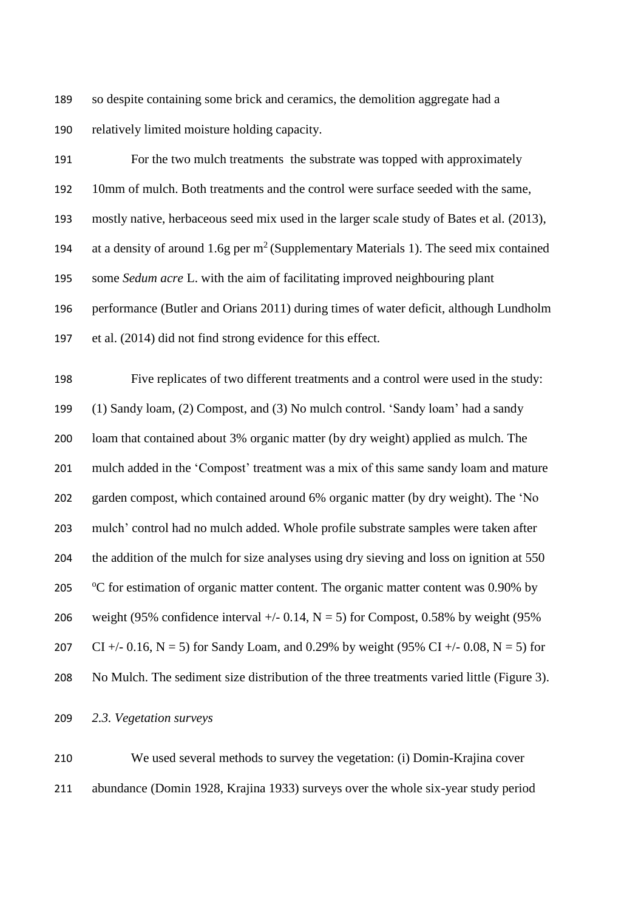so despite containing some brick and ceramics, the demolition aggregate had a relatively limited moisture holding capacity.

 For the two mulch treatments the substrate was topped with approximately 10mm of mulch. Both treatments and the control were surface seeded with the same, mostly native, herbaceous seed mix used in the larger scale study of Bates et al. [\(2013\)](#page-23-5), 194 at a density of around 1.6g per  $m^2$  (Supplementary Materials 1). The seed mix contained some *Sedum acre* L. with the aim of facilitating improved neighbouring plant performance [\(Butler and Orians 2011\)](#page-23-11) during times of water deficit, although Lundholm et al. [\(2014\)](#page-25-6) did not find strong evidence for this effect.

 Five replicates of two different treatments and a control were used in the study: (1) Sandy loam, (2) Compost, and (3) No mulch control. 'Sandy loam' had a sandy loam that contained about 3% organic matter (by dry weight) applied as mulch. The mulch added in the 'Compost' treatment was a mix of this same sandy loam and mature garden compost, which contained around 6% organic matter (by dry weight). The 'No mulch' control had no mulch added. Whole profile substrate samples were taken after the addition of the mulch for size analyses using dry sieving and loss on ignition at 550 205 °C for estimation of organic matter content. The organic matter content was 0.90% by 206 weight (95% confidence interval  $+/- 0.14$ , N = 5) for Compost, 0.58% by weight (95%) 207 CI +/- 0.16, N = 5) for Sandy Loam, and 0.29% by weight (95% CI +/- 0.08, N = 5) for No Mulch. The sediment size distribution of the three treatments varied little (Figure 3).

*2.3. Vegetation surveys*

 We used several methods to survey the vegetation: (i) Domin-Krajina cover abundance (Domin 1928, Krajina 1933) surveys over the whole six-year study period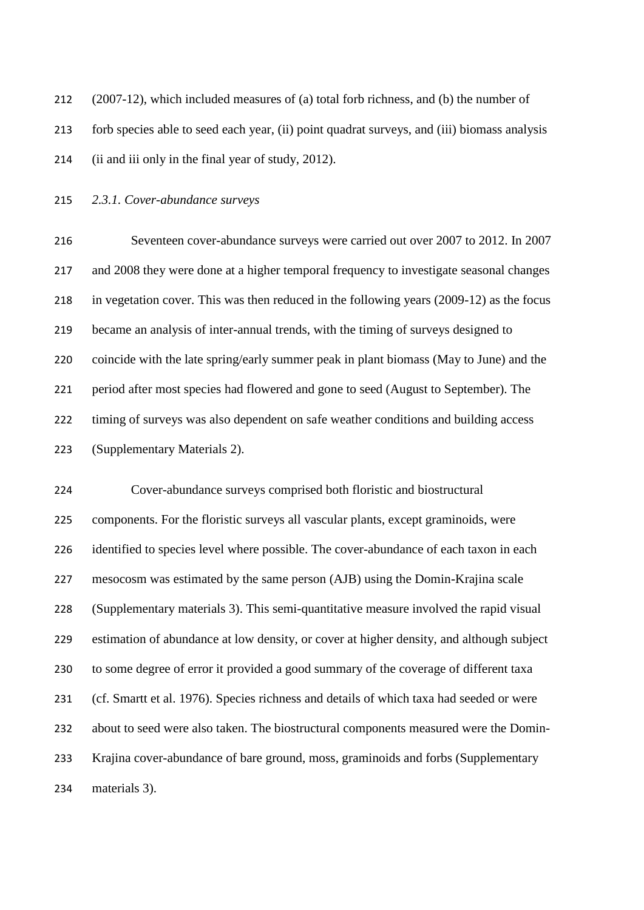| 212 | $(2007-12)$ , which included measures of (a) total forb richness, and (b) the number of     |
|-----|---------------------------------------------------------------------------------------------|
| 213 | forb species able to seed each year, (ii) point quadrat surveys, and (iii) biomass analysis |
| 214 | (ii and iii only in the final year of study, 2012).                                         |

*2.3.1. Cover-abundance surveys*

 Seventeen cover-abundance surveys were carried out over 2007 to 2012. In 2007 and 2008 they were done at a higher temporal frequency to investigate seasonal changes in vegetation cover. This was then reduced in the following years (2009-12) as the focus became an analysis of inter-annual trends, with the timing of surveys designed to coincide with the late spring/early summer peak in plant biomass (May to June) and the period after most species had flowered and gone to seed (August to September). The timing of surveys was also dependent on safe weather conditions and building access (Supplementary Materials 2).

 Cover-abundance surveys comprised both floristic and biostructural components. For the floristic surveys all vascular plants, except graminoids, were identified to species level where possible. The cover-abundance of each taxon in each mesocosm was estimated by the same person (AJB) using the Domin-Krajina scale (Supplementary materials 3). This semi-quantitative measure involved the rapid visual estimation of abundance at low density, or cover at higher density, and although subject to some degree of error it provided a good summary of the coverage of different taxa [\(cf. Smartt et al. 1976\)](#page-26-9). Species richness and details of which taxa had seeded or were about to seed were also taken. The biostructural components measured were the Domin- Krajina cover-abundance of bare ground, moss, graminoids and forbs (Supplementary materials 3).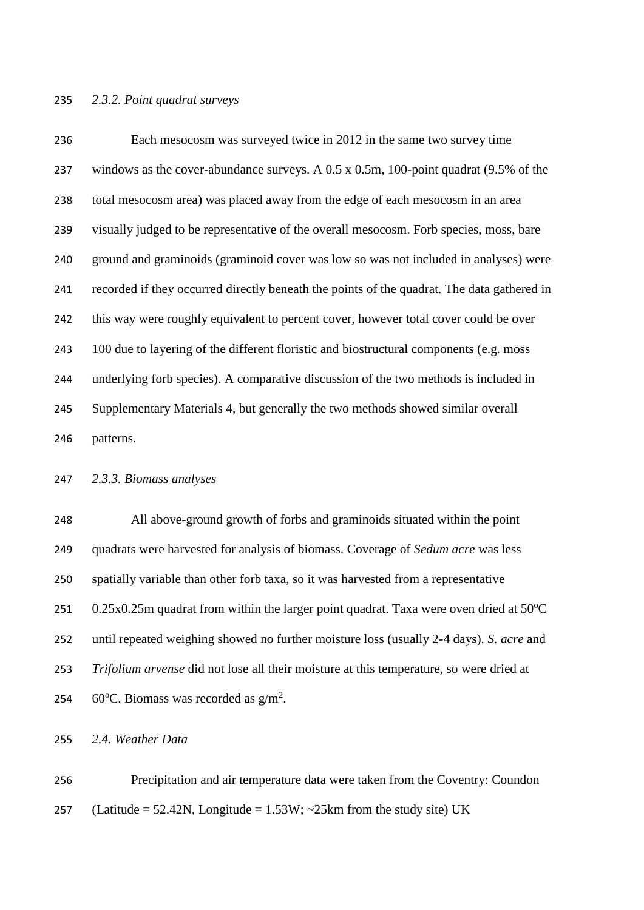#### *2.3.2. Point quadrat surveys*

 Each mesocosm was surveyed twice in 2012 in the same two survey time windows as the cover-abundance surveys. A 0.5 x 0.5m, 100-point quadrat (9.5% of the total mesocosm area) was placed away from the edge of each mesocosm in an area visually judged to be representative of the overall mesocosm. Forb species, moss, bare ground and graminoids (graminoid cover was low so was not included in analyses) were recorded if they occurred directly beneath the points of the quadrat. The data gathered in this way were roughly equivalent to percent cover, however total cover could be over 100 due to layering of the different floristic and biostructural components (e.g. moss underlying forb species). A comparative discussion of the two methods is included in Supplementary Materials 4, but generally the two methods showed similar overall patterns.

#### *2.3.3. Biomass analyses*

 All above-ground growth of forbs and graminoids situated within the point quadrats were harvested for analysis of biomass. Coverage of *Sedum acre* was less spatially variable than other forb taxa, so it was harvested from a representative  $0.25x0.25m$  quadrat from within the larger point quadrat. Taxa were oven dried at 50 $^{\circ}$ C until repeated weighing showed no further moisture loss (usually 2-4 days). *S. acre* and *Trifolium arvense* did not lose all their moisture at this temperature, so were dried at 254 60°C. Biomass was recorded as  $g/m^2$ .

*2.4. Weather Data*

 Precipitation and air temperature data were taken from the Coventry: Coundon 257 (Latitude = 52.42N, Longitude =  $1.53W$ ; ~ $25km$  from the study site) UK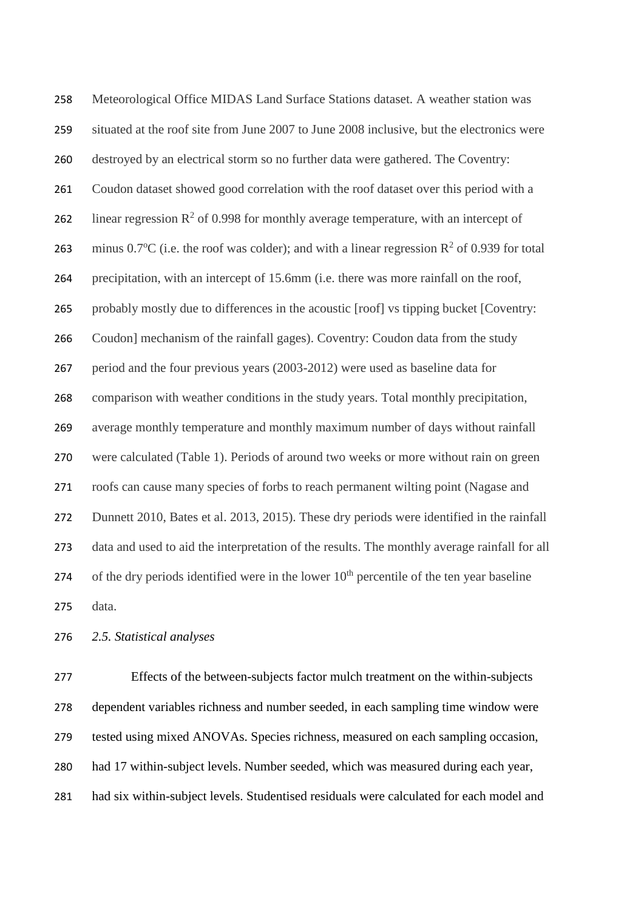Meteorological Office MIDAS Land Surface Stations dataset. A weather station was situated at the roof site from June 2007 to June 2008 inclusive, but the electronics were destroyed by an electrical storm so no further data were gathered. The Coventry: Coudon dataset showed good correlation with the roof dataset over this period with a 262 linear regression  $\mathbb{R}^2$  of 0.998 for monthly average temperature, with an intercept of 263 minus 0.7°C (i.e. the roof was colder); and with a linear regression  $\mathbb{R}^2$  of 0.939 for total precipitation, with an intercept of 15.6mm (i.e. there was more rainfall on the roof, probably mostly due to differences in the acoustic [roof] vs tipping bucket [Coventry: Coudon] mechanism of the rainfall gages). Coventry: Coudon data from the study period and the four previous years (2003-2012) were used as baseline data for comparison with weather conditions in the study years. Total monthly precipitation, average monthly temperature and monthly maximum number of days without rainfall were calculated (Table 1). Periods of around two weeks or more without rain on green roofs can cause many species of forbs to reach permanent wilting point [\(Nagase and](#page-25-5)  [Dunnett 2010,](#page-25-5) [Bates et al. 2013,](#page-23-5) 2015). These dry periods were identified in the rainfall data and used to aid the interpretation of the results. The monthly average rainfall for all 274 of the dry periods identified were in the lower  $10<sup>th</sup>$  percentile of the ten year baseline data.

*2.5. Statistical analyses*

 Effects of the between-subjects factor mulch treatment on the within-subjects dependent variables richness and number seeded, in each sampling time window were tested using mixed ANOVAs. Species richness, measured on each sampling occasion, had 17 within-subject levels. Number seeded, which was measured during each year, had six within-subject levels. Studentised residuals were calculated for each model and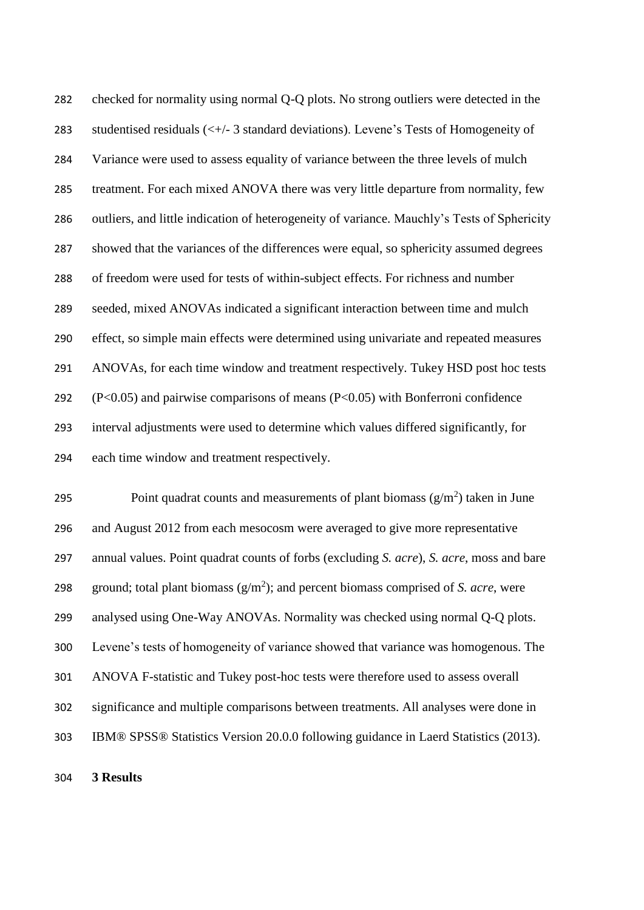checked for normality using normal Q-Q plots. No strong outliers were detected in the 283 studentised residuals  $(\langle + \rangle - 3)$  standard deviations). Levene's Tests of Homogeneity of Variance were used to assess equality of variance between the three levels of mulch treatment. For each mixed ANOVA there was very little departure from normality, few outliers, and little indication of heterogeneity of variance. Mauchly's Tests of Sphericity showed that the variances of the differences were equal, so sphericity assumed degrees of freedom were used for tests of within-subject effects. For richness and number seeded, mixed ANOVAs indicated a significant interaction between time and mulch effect, so simple main effects were determined using univariate and repeated measures ANOVAs, for each time window and treatment respectively. Tukey HSD post hoc tests (P<0.05) and pairwise comparisons of means (P<0.05) with Bonferroni confidence interval adjustments were used to determine which values differed significantly, for each time window and treatment respectively.

295 Point quadrat counts and measurements of plant biomass  $(g/m^2)$  taken in June and August 2012 from each mesocosm were averaged to give more representative annual values. Point quadrat counts of forbs (excluding *S. acre*), *S. acre*, moss and bare 298 ground; total plant biomass  $(g/m^2)$ ; and percent biomass comprised of *S. acre*, were analysed using One-Way ANOVAs. Normality was checked using normal Q-Q plots. Levene's tests of homogeneity of variance showed that variance was homogenous. The ANOVA F-statistic and Tukey post-hoc tests were therefore used to assess overall significance and multiple comparisons between treatments. All analyses were done in IBM® SPSS® Statistics Version 20.0.0 following guidance in Laerd Statistics [\(2013\)](#page-24-17).

**3 Results**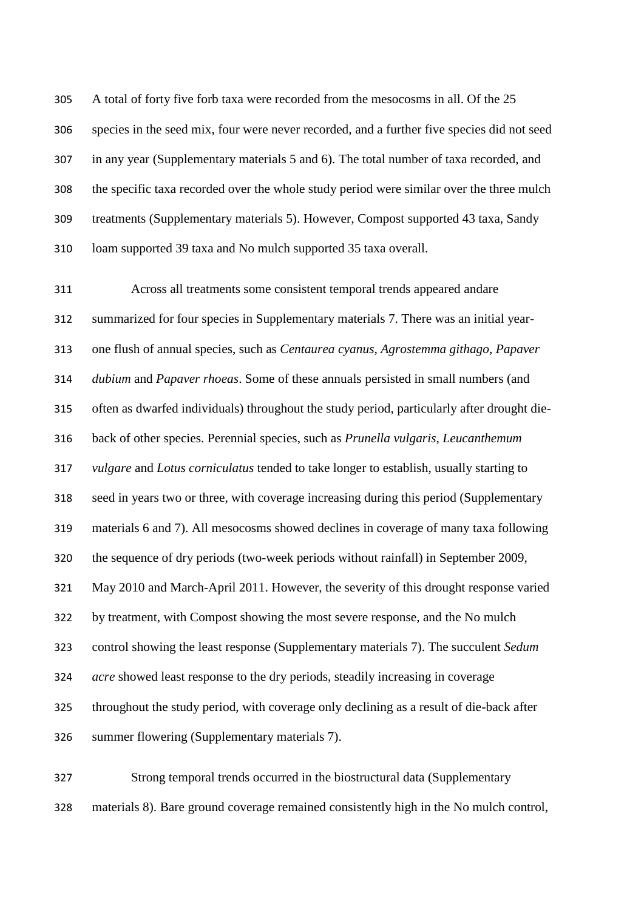A total of forty five forb taxa were recorded from the mesocosms in all. Of the 25 species in the seed mix, four were never recorded, and a further five species did not seed in any year (Supplementary materials 5 and 6). The total number of taxa recorded, and the specific taxa recorded over the whole study period were similar over the three mulch treatments (Supplementary materials 5). However, Compost supported 43 taxa, Sandy loam supported 39 taxa and No mulch supported 35 taxa overall.

 Across all treatments some consistent temporal trends appeared andare summarized for four species in Supplementary materials 7. There was an initial year- one flush of annual species, such as *Centaurea cyanus*, *Agrostemma githago*, *Papaver dubium* and *Papaver rhoeas*. Some of these annuals persisted in small numbers (and often as dwarfed individuals) throughout the study period, particularly after drought die- back of other species. Perennial species, such as *Prunella vulgaris*, *Leucanthemum vulgare* and *Lotus corniculatus* tended to take longer to establish, usually starting to seed in years two or three, with coverage increasing during this period (Supplementary materials 6 and 7). All mesocosms showed declines in coverage of many taxa following the sequence of dry periods (two-week periods without rainfall) in September 2009, May 2010 and March-April 2011. However, the severity of this drought response varied by treatment, with Compost showing the most severe response, and the No mulch control showing the least response (Supplementary materials 7). The succulent *Sedum acre* showed least response to the dry periods, steadily increasing in coverage throughout the study period, with coverage only declining as a result of die-back after summer flowering (Supplementary materials 7).

 Strong temporal trends occurred in the biostructural data (Supplementary materials 8). Bare ground coverage remained consistently high in the No mulch control,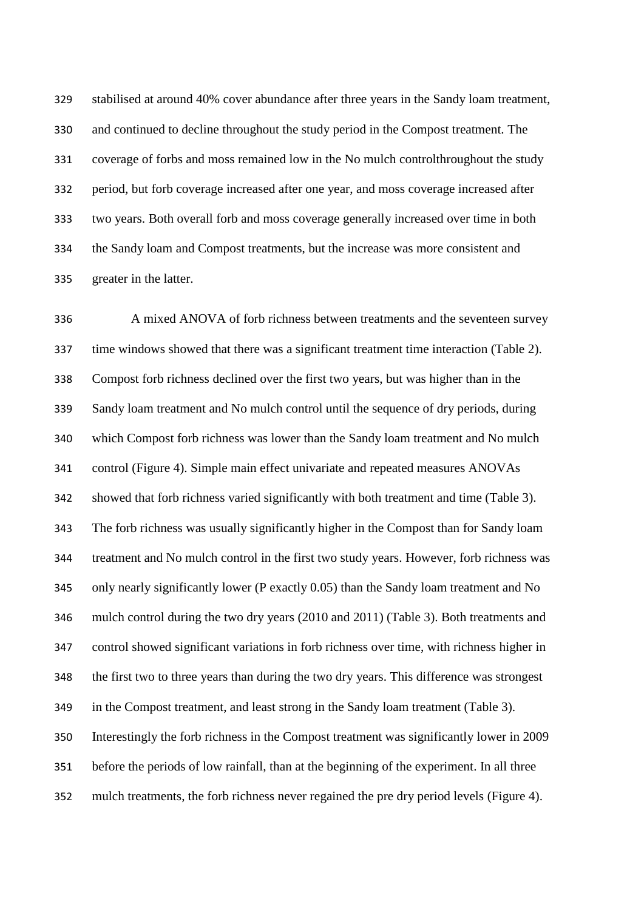stabilised at around 40% cover abundance after three years in the Sandy loam treatment, and continued to decline throughout the study period in the Compost treatment. The coverage of forbs and moss remained low in the No mulch controlthroughout the study period, but forb coverage increased after one year, and moss coverage increased after two years. Both overall forb and moss coverage generally increased over time in both the Sandy loam and Compost treatments, but the increase was more consistent and greater in the latter.

 A mixed ANOVA of forb richness between treatments and the seventeen survey time windows showed that there was a significant treatment time interaction (Table 2). Compost forb richness declined over the first two years, but was higher than in the Sandy loam treatment and No mulch control until the sequence of dry periods, during which Compost forb richness was lower than the Sandy loam treatment and No mulch control (Figure 4). Simple main effect univariate and repeated measures ANOVAs showed that forb richness varied significantly with both treatment and time (Table 3). The forb richness was usually significantly higher in the Compost than for Sandy loam treatment and No mulch control in the first two study years. However, forb richness was only nearly significantly lower (P exactly 0.05) than the Sandy loam treatment and No mulch control during the two dry years (2010 and 2011) (Table 3). Both treatments and control showed significant variations in forb richness over time, with richness higher in the first two to three years than during the two dry years. This difference was strongest in the Compost treatment, and least strong in the Sandy loam treatment (Table 3). Interestingly the forb richness in the Compost treatment was significantly lower in 2009 before the periods of low rainfall, than at the beginning of the experiment. In all three mulch treatments, the forb richness never regained the pre dry period levels (Figure 4).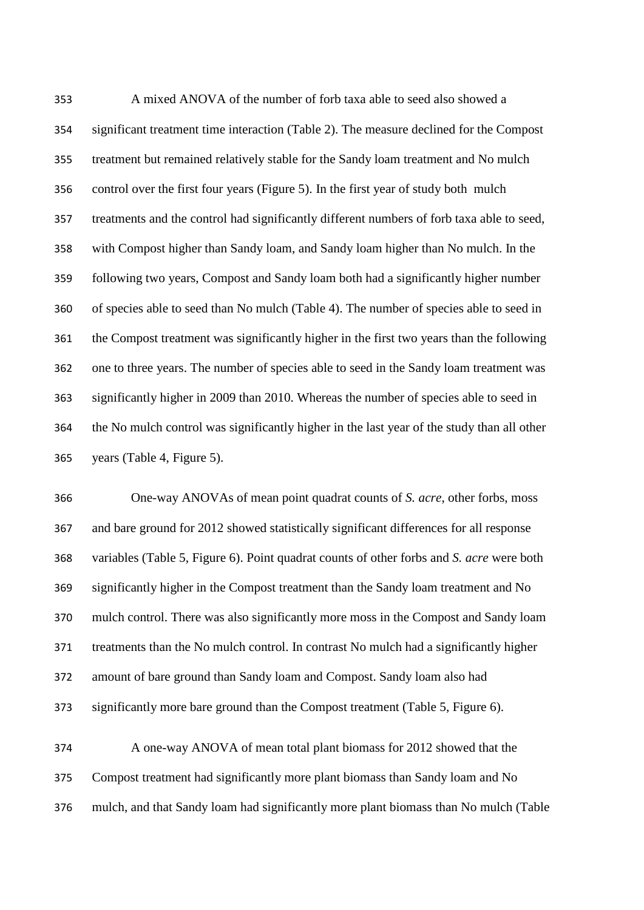A mixed ANOVA of the number of forb taxa able to seed also showed a significant treatment time interaction (Table 2). The measure declined for the Compost treatment but remained relatively stable for the Sandy loam treatment and No mulch control over the first four years (Figure 5). In the first year of study both mulch treatments and the control had significantly different numbers of forb taxa able to seed, with Compost higher than Sandy loam, and Sandy loam higher than No mulch. In the following two years, Compost and Sandy loam both had a significantly higher number of species able to seed than No mulch (Table 4). The number of species able to seed in the Compost treatment was significantly higher in the first two years than the following one to three years. The number of species able to seed in the Sandy loam treatment was significantly higher in 2009 than 2010. Whereas the number of species able to seed in the No mulch control was significantly higher in the last year of the study than all other years (Table 4, Figure 5).

 One-way ANOVAs of mean point quadrat counts of *S. acre*, other forbs, moss and bare ground for 2012 showed statistically significant differences for all response variables (Table 5, Figure 6). Point quadrat counts of other forbs and *S. acre* were both significantly higher in the Compost treatment than the Sandy loam treatment and No mulch control. There was also significantly more moss in the Compost and Sandy loam treatments than the No mulch control. In contrast No mulch had a significantly higher amount of bare ground than Sandy loam and Compost. Sandy loam also had significantly more bare ground than the Compost treatment (Table 5, Figure 6).

 A one-way ANOVA of mean total plant biomass for 2012 showed that the Compost treatment had significantly more plant biomass than Sandy loam and No mulch, and that Sandy loam had significantly more plant biomass than No mulch (Table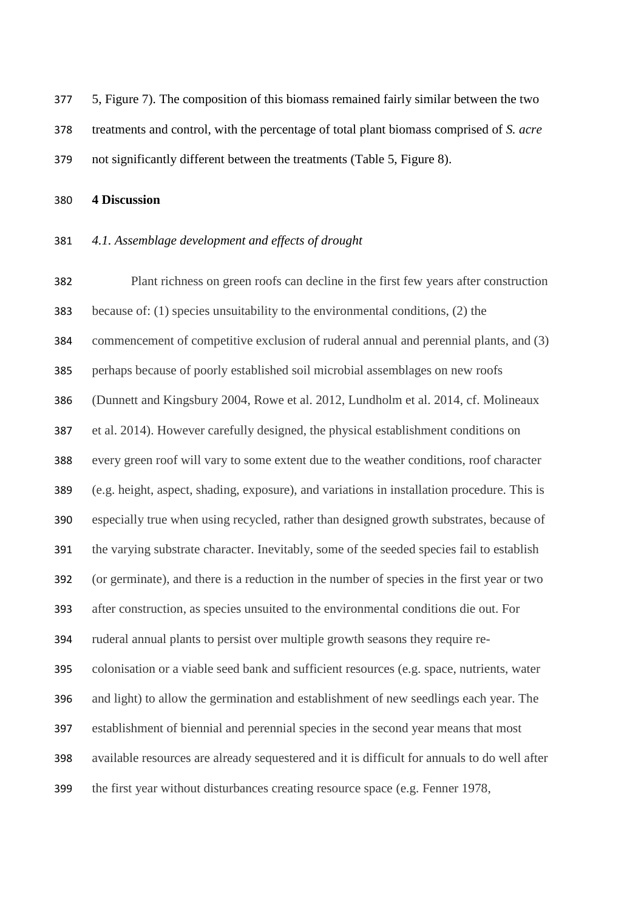5, Figure 7). The composition of this biomass remained fairly similar between the two treatments and control, with the percentage of total plant biomass comprised of *S. acre* not significantly different between the treatments (Table 5, Figure 8).

**4 Discussion**

#### *4.1. Assemblage development and effects of drought*

 Plant richness on green roofs can decline in the first few years after construction because of: (1) species unsuitability to the environmental conditions, (2) the commencement of competitive exclusion of ruderal annual and perennial plants, and (3) perhaps because of poorly established soil microbial assemblages on new roofs [\(Dunnett and Kingsbury 2004,](#page-23-3) [Rowe et al. 2012,](#page-26-7) [Lundholm et al. 2014,](#page-25-6) cf. Molineaux et al. 2014). However carefully designed, the physical establishment conditions on every green roof will vary to some extent due to the weather conditions, roof character (e.g. height, aspect, shading, exposure), and variations in installation procedure. This is especially true when using recycled, rather than designed growth substrates, because of the varying substrate character. Inevitably, some of the seeded species fail to establish (or germinate), and there is a reduction in the number of species in the first year or two after construction, as species unsuited to the environmental conditions die out. For ruderal annual plants to persist over multiple growth seasons they require re- colonisation or a viable seed bank and sufficient resources (e.g. space, nutrients, water and light) to allow the germination and establishment of new seedlings each year. The establishment of biennial and perennial species in the second year means that most available resources are already sequestered and it is difficult for annuals to do well after the first year without disturbances creating resource space (e.g. [Fenner 1978,](#page-24-18)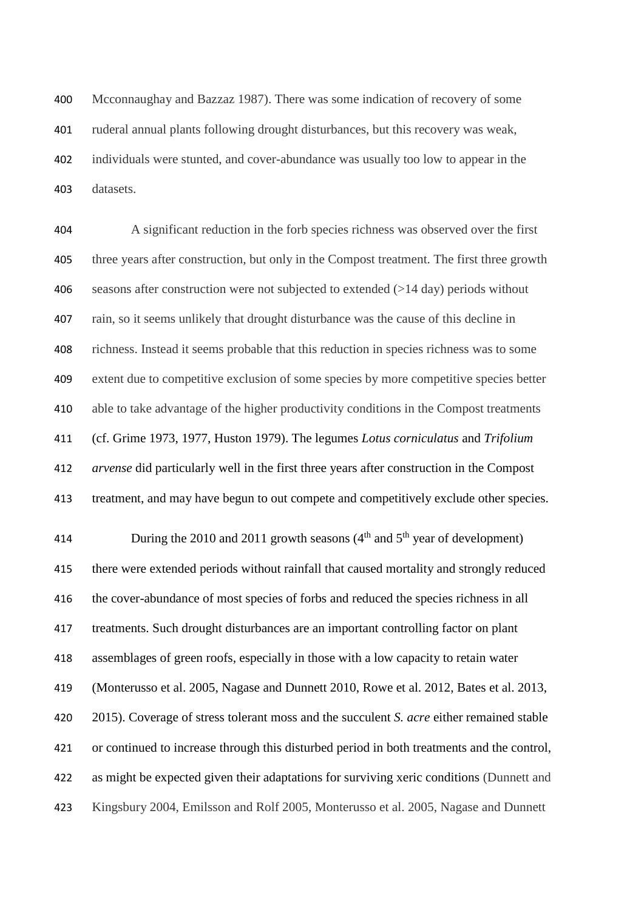[Mcconnaughay and Bazzaz 1987\)](#page-25-14). There was some indication of recovery of some ruderal annual plants following drought disturbances, but this recovery was weak, individuals were stunted, and cover-abundance was usually too low to appear in the datasets.

 A significant reduction in the forb species richness was observed over the first three years after construction, but only in the Compost treatment. The first three growth seasons after construction were not subjected to extended (>14 day) periods without rain, so it seems unlikely that drought disturbance was the cause of this decline in richness. Instead it seems probable that this reduction in species richness was to some extent due to competitive exclusion of some species by more competitive species better able to take advantage of the higher productivity conditions in the Compost treatments (cf. [Grime 1973,](#page-24-12) [1977,](#page-24-15) [Huston 1979\)](#page-24-13). The legumes *Lotus corniculatus* and *Trifolium arvense* did particularly well in the first three years after construction in the Compost treatment, and may have begun to out compete and competitively exclude other species.

414 During the 2010 and 2011 growth seasons  $(4<sup>th</sup>$  and  $5<sup>th</sup>$  year of development) there were extended periods without rainfall that caused mortality and strongly reduced the cover-abundance of most species of forbs and reduced the species richness in all treatments. Such drought disturbances are an important controlling factor on plant assemblages of green roofs, especially in those with a low capacity to retain water [\(Monterusso et al. 2005,](#page-25-15) [Nagase and Dunnett 2010,](#page-25-5) [Rowe et al. 2012,](#page-26-7) [Bates et al. 2013,](#page-23-5) 2015). Coverage of stress tolerant moss and the succulent *S. acre* either remained stable or continued to increase through this disturbed period in both treatments and the control, as might be expected given their adaptations for surviving xeric conditions [\(Dunnett and](#page-23-3)  [Kingsbury 2004,](#page-23-3) [Emilsson and Rolf 2005,](#page-24-19) [Monterusso et al. 2005,](#page-25-15) [Nagase and Dunnett](#page-25-5)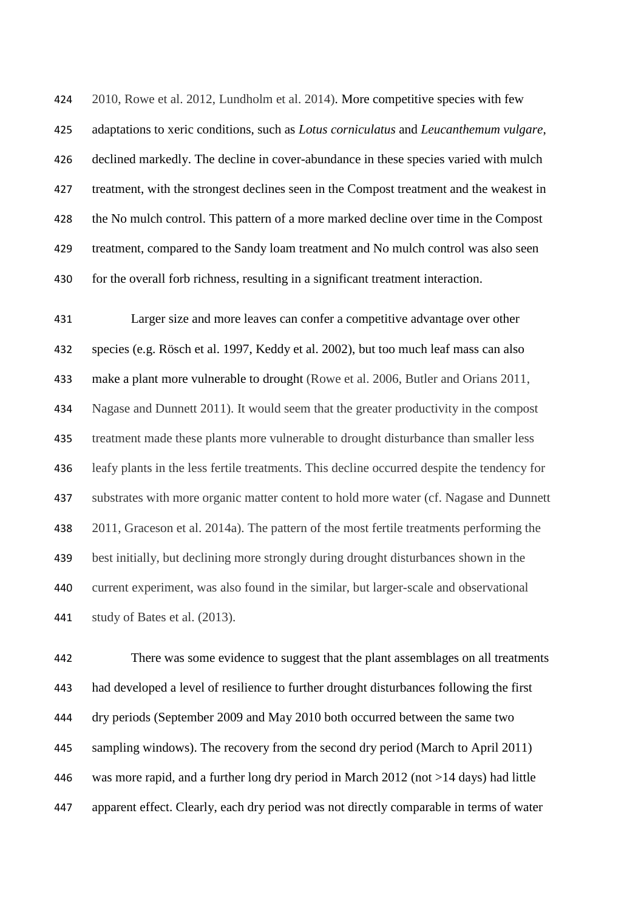[2010,](#page-25-5) [Rowe et al. 2012,](#page-26-7) [Lundholm et al. 2014\)](#page-25-6). More competitive species with few adaptations to xeric conditions, such as *Lotus corniculatus* and *Leucanthemum vulgare*, declined markedly. The decline in cover-abundance in these species varied with mulch treatment, with the strongest declines seen in the Compost treatment and the weakest in the No mulch control. This pattern of a more marked decline over time in the Compost treatment, compared to the Sandy loam treatment and No mulch control was also seen for the overall forb richness, resulting in a significant treatment interaction.

 Larger size and more leaves can confer a competitive advantage over other species (e.g. [Rösch et al. 1997,](#page-25-16) [Keddy et al. 2002\)](#page-24-20), but too much leaf mass can also make a plant more vulnerable to drought [\(Rowe et al. 2006,](#page-26-10) [Butler and Orians 2011,](#page-23-11) [Nagase and Dunnett 2011\)](#page-25-7). It would seem that the greater productivity in the compost treatment made these plants more vulnerable to drought disturbance than smaller less leafy plants in the less fertile treatments. This decline occurred despite the tendency for substrates with more organic matter content to hold more water (cf. [Nagase and Dunnett](#page-25-7)  [2011,](#page-25-7) [Graceson et al. 2014a\)](#page-24-21). The pattern of the most fertile treatments performing the best initially, but declining more strongly during drought disturbances shown in the current experiment, was also found in the similar, but larger-scale and observational study of Bates et al. [\(2013\)](#page-23-5).

 There was some evidence to suggest that the plant assemblages on all treatments had developed a level of resilience to further drought disturbances following the first dry periods (September 2009 and May 2010 both occurred between the same two sampling windows). The recovery from the second dry period (March to April 2011) was more rapid, and a further long dry period in March 2012 (not >14 days) had little apparent effect. Clearly, each dry period was not directly comparable in terms of water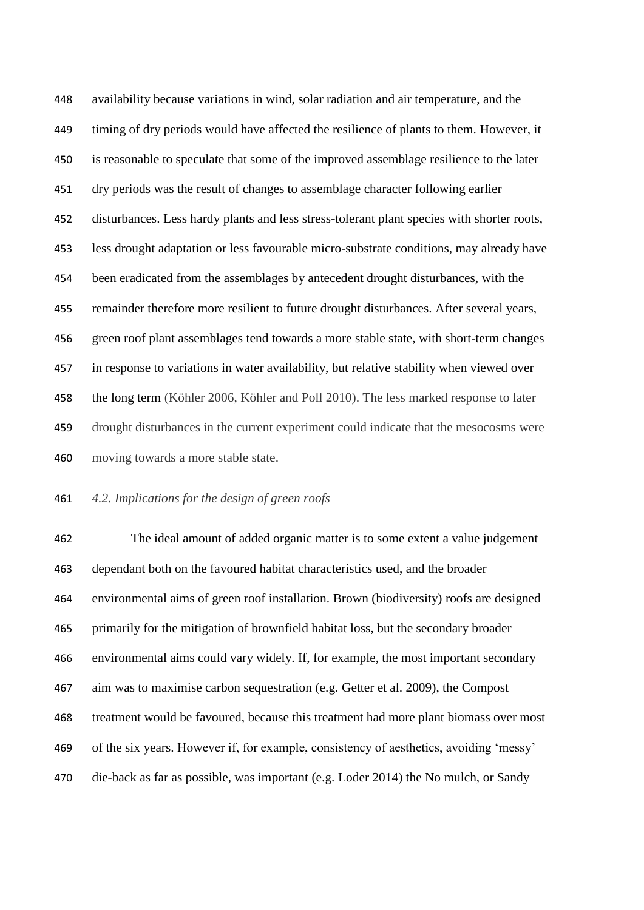availability because variations in wind, solar radiation and air temperature, and the timing of dry periods would have affected the resilience of plants to them. However, it is reasonable to speculate that some of the improved assemblage resilience to the later dry periods was the result of changes to assemblage character following earlier disturbances. Less hardy plants and less stress-tolerant plant species with shorter roots, less drought adaptation or less favourable micro-substrate conditions, may already have been eradicated from the assemblages by antecedent drought disturbances, with the remainder therefore more resilient to future drought disturbances. After several years, green roof plant assemblages tend towards a more stable state, with short-term changes in response to variations in water availability, but relative stability when viewed over the long term [\(Köhler 2006,](#page-24-9) [Köhler and Poll 2010\)](#page-24-10). The less marked response to later drought disturbances in the current experiment could indicate that the mesocosms were moving towards a more stable state.

*4.2. Implications for the design of green roofs*

 The ideal amount of added organic matter is to some extent a value judgement dependant both on the favoured habitat characteristics used, and the broader environmental aims of green roof installation. Brown (biodiversity) roofs are designed primarily for the mitigation of brownfield habitat loss, but the secondary broader environmental aims could vary widely. If, for example, the most important secondary aim was to maximise carbon sequestration [\(e.g. Getter et al. 2009\)](#page-24-22), the Compost treatment would be favoured, because this treatment had more plant biomass over most of the six years. However if, for example, consistency of aesthetics, avoiding 'messy' die-back as far as possible, was important [\(e.g. Loder 2014\)](#page-25-4) the No mulch, or Sandy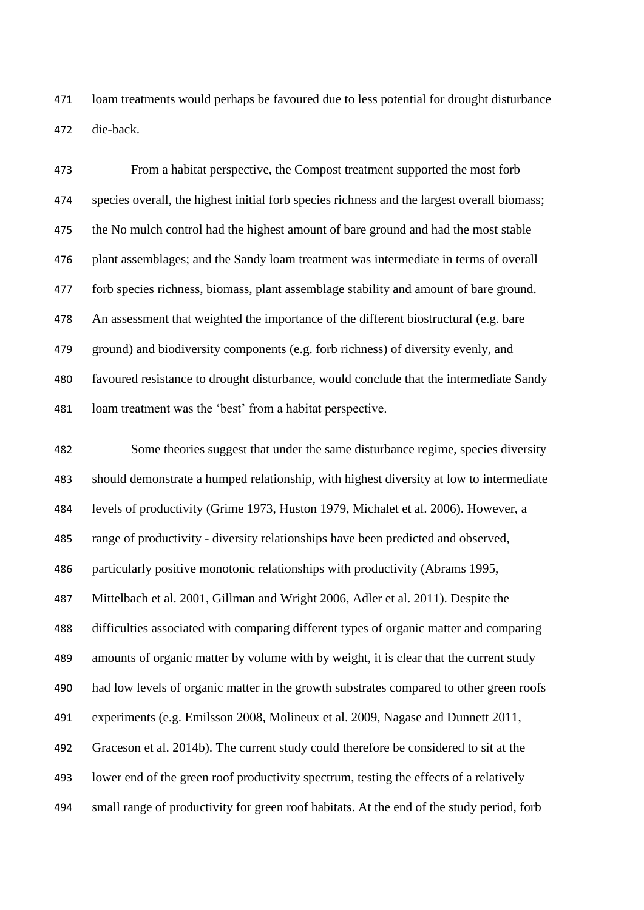loam treatments would perhaps be favoured due to less potential for drought disturbance die-back.

 From a habitat perspective, the Compost treatment supported the most forb species overall, the highest initial forb species richness and the largest overall biomass; the No mulch control had the highest amount of bare ground and had the most stable plant assemblages; and the Sandy loam treatment was intermediate in terms of overall forb species richness, biomass, plant assemblage stability and amount of bare ground. An assessment that weighted the importance of the different biostructural (e.g. bare ground) and biodiversity components (e.g. forb richness) of diversity evenly, and favoured resistance to drought disturbance, would conclude that the intermediate Sandy loam treatment was the 'best' from a habitat perspective.

 Some theories suggest that under the same disturbance regime, species diversity should demonstrate a humped relationship, with highest diversity at low to intermediate levels of productivity [\(Grime 1973,](#page-24-12) [Huston 1979,](#page-24-13) [Michalet et al. 2006\)](#page-25-11). However, a range of productivity - diversity relationships have been predicted and observed, particularly positive monotonic relationships with productivity [\(Abrams 1995,](#page-23-9) [Mittelbach et al. 2001,](#page-25-12) [Gillman and Wright 2006,](#page-24-14) [Adler et al. 2011\)](#page-23-10). Despite the difficulties associated with comparing different types of organic matter and comparing amounts of organic matter by volume with by weight, it is clear that the current study had low levels of organic matter in the growth substrates compared to other green roofs experiments (e.g. [Emilsson 2008,](#page-23-12) [Molineux et al. 2009,](#page-25-10) [Nagase and Dunnett 2011,](#page-25-7) [Graceson et al. 2014b\)](#page-24-11). The current study could therefore be considered to sit at the lower end of the green roof productivity spectrum, testing the effects of a relatively small range of productivity for green roof habitats. At the end of the study period, forb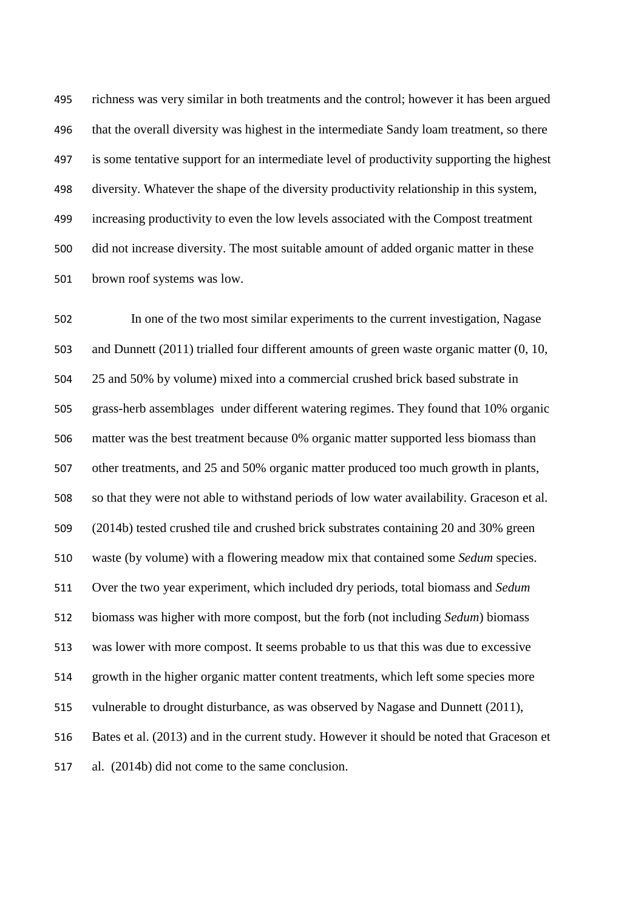richness was very similar in both treatments and the control; however it has been argued that the overall diversity was highest in the intermediate Sandy loam treatment, so there is some tentative support for an intermediate level of productivity supporting the highest diversity. Whatever the shape of the diversity productivity relationship in this system, increasing productivity to even the low levels associated with the Compost treatment did not increase diversity. The most suitable amount of added organic matter in these brown roof systems was low.

 In one of the two most similar experiments to the current investigation, Nagase and Dunnett [\(2011\)](#page-25-7) trialled four different amounts of green waste organic matter (0, 10, 25 and 50% by volume) mixed into a commercial crushed brick based substrate in grass-herb assemblages under different watering regimes. They found that 10% organic matter was the best treatment because 0% organic matter supported less biomass than other treatments, and 25 and 50% organic matter produced too much growth in plants, so that they were not able to withstand periods of low water availability. Graceson et al. [\(2014b\)](#page-24-11) tested crushed tile and crushed brick substrates containing 20 and 30% green waste (by volume) with a flowering meadow mix that contained some *Sedum* species. Over the two year experiment, which included dry periods, total biomass and *Sedum* biomass was higher with more compost, but the forb (not including *Sedum*) biomass was lower with more compost. It seems probable to us that this was due to excessive growth in the higher organic matter content treatments, which left some species more vulnerable to drought disturbance, as was observed by Nagase and Dunnett [\(2011\)](#page-25-7), Bates et al. [\(2013\)](#page-23-5) and in the current study. However it should be noted that Graceson et al. [\(2014b\)](#page-24-11) did not come to the same conclusion.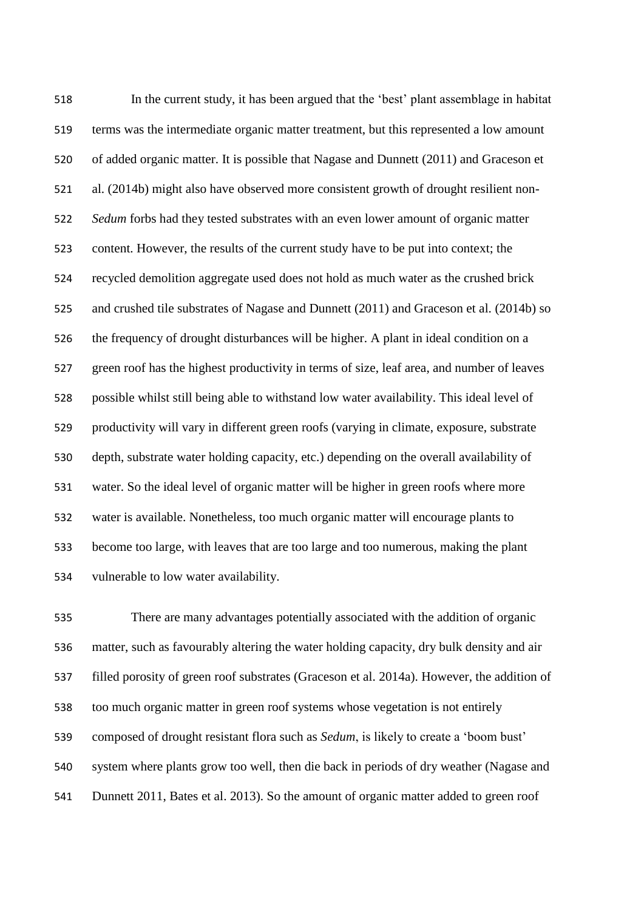In the current study, it has been argued that the 'best' plant assemblage in habitat terms was the intermediate organic matter treatment, but this represented a low amount of added organic matter. It is possible that Nagase and Dunnett [\(2011\)](#page-25-7) and Graceson et al. [\(2014b\)](#page-24-11) might also have observed more consistent growth of drought resilient non- *Sedum* forbs had they tested substrates with an even lower amount of organic matter content. However, the results of the current study have to be put into context; the recycled demolition aggregate used does not hold as much water as the crushed brick and crushed tile substrates of Nagase and Dunnett [\(2011\)](#page-25-7) and Graceson et al. [\(2014b\)](#page-24-11) so the frequency of drought disturbances will be higher. A plant in ideal condition on a green roof has the highest productivity in terms of size, leaf area, and number of leaves possible whilst still being able to withstand low water availability. This ideal level of productivity will vary in different green roofs (varying in climate, exposure, substrate depth, substrate water holding capacity, etc.) depending on the overall availability of water. So the ideal level of organic matter will be higher in green roofs where more water is available. Nonetheless, too much organic matter will encourage plants to become too large, with leaves that are too large and too numerous, making the plant vulnerable to low water availability.

 There are many advantages potentially associated with the addition of organic matter, such as favourably altering the water holding capacity, dry bulk density and air filled porosity of green roof substrates [\(Graceson et al. 2014a\)](#page-24-21). However, the addition of too much organic matter in green roof systems whose vegetation is not entirely composed of drought resistant flora such as *Sedum*, is likely to create a 'boom bust' system where plants grow too well, then die back in periods of dry weather [\(Nagase and](#page-25-7)  [Dunnett 2011,](#page-25-7) [Bates et al. 2013\)](#page-23-5). So the amount of organic matter added to green roof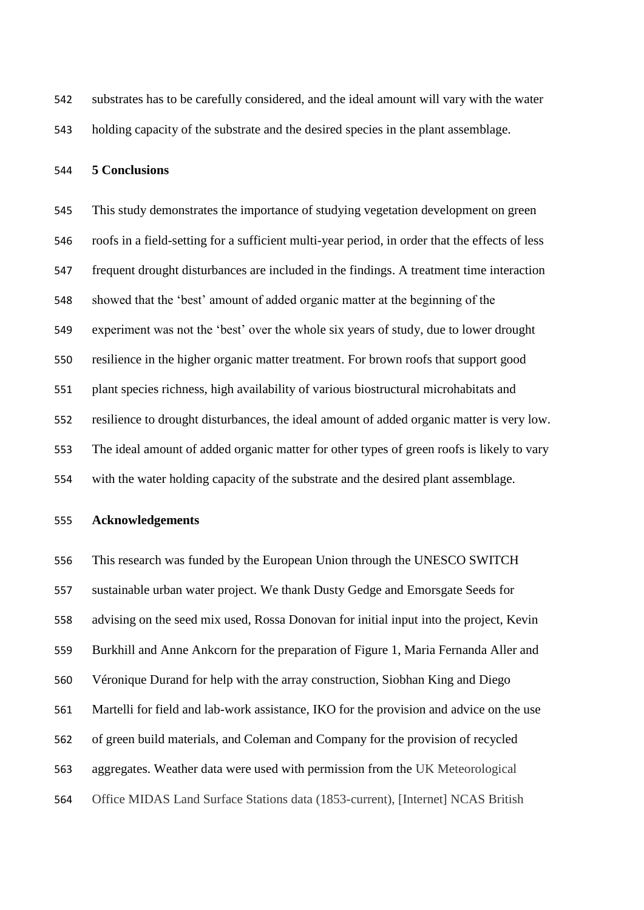substrates has to be carefully considered, and the ideal amount will vary with the water holding capacity of the substrate and the desired species in the plant assemblage.

#### **5 Conclusions**

 This study demonstrates the importance of studying vegetation development on green roofs in a field-setting for a sufficient multi-year period, in order that the effects of less frequent drought disturbances are included in the findings. A treatment time interaction showed that the 'best' amount of added organic matter at the beginning of the experiment was not the 'best' over the whole six years of study, due to lower drought resilience in the higher organic matter treatment. For brown roofs that support good plant species richness, high availability of various biostructural microhabitats and resilience to drought disturbances, the ideal amount of added organic matter is very low. The ideal amount of added organic matter for other types of green roofs is likely to vary with the water holding capacity of the substrate and the desired plant assemblage.

#### **Acknowledgements**

 This research was funded by the European Union through the UNESCO SWITCH sustainable urban water project. We thank Dusty Gedge and Emorsgate Seeds for advising on the seed mix used, Rossa Donovan for initial input into the project, Kevin Burkhill and Anne Ankcorn for the preparation of Figure 1, Maria Fernanda Aller and Véronique Durand for help with the array construction, Siobhan King and Diego Martelli for field and lab-work assistance, IKO for the provision and advice on the use of green build materials, and Coleman and Company for the provision of recycled aggregates. Weather data were used with permission from the UK Meteorological Office MIDAS Land Surface Stations data (1853-current), [Internet] NCAS British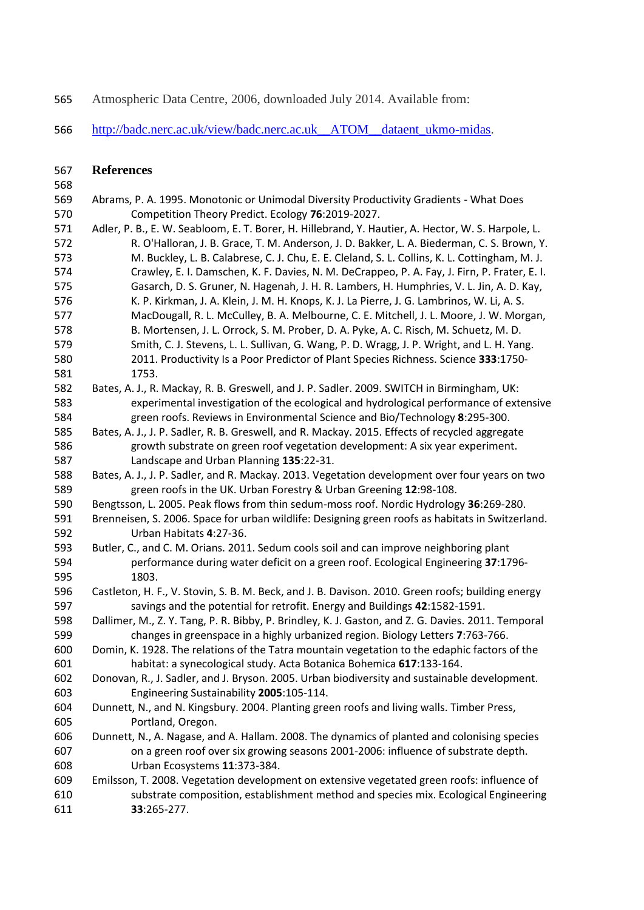Atmospheric Data Centre, 2006, downloaded July 2014. Available from:

[http://badc.nerc.ac.uk/view/badc.nerc.ac.uk\\_\\_ATOM\\_\\_dataent\\_ukmo-midas.](http://badc.nerc.ac.uk/view/badc.nerc.ac.uk__ATOM__dataent_ukmo-midas)

#### **References**

#### 

- <span id="page-23-9"></span> Abrams, P. A. 1995. Monotonic or Unimodal Diversity Productivity Gradients - What Does Competition Theory Predict. Ecology **76**:2019-2027.
- <span id="page-23-10"></span> Adler, P. B., E. W. Seabloom, E. T. Borer, H. Hillebrand, Y. Hautier, A. Hector, W. S. Harpole, L. R. O'Halloran, J. B. Grace, T. M. Anderson, J. D. Bakker, L. A. Biederman, C. S. Brown, Y. M. Buckley, L. B. Calabrese, C. J. Chu, E. E. Cleland, S. L. Collins, K. L. Cottingham, M. J. Crawley, E. I. Damschen, K. F. Davies, N. M. DeCrappeo, P. A. Fay, J. Firn, P. Frater, E. I. Gasarch, D. S. Gruner, N. Hagenah, J. H. R. Lambers, H. Humphries, V. L. Jin, A. D. Kay, K. P. Kirkman, J. A. Klein, J. M. H. Knops, K. J. La Pierre, J. G. Lambrinos, W. Li, A. S. MacDougall, R. L. McCulley, B. A. Melbourne, C. E. Mitchell, J. L. Moore, J. W. Morgan, B. Mortensen, J. L. Orrock, S. M. Prober, D. A. Pyke, A. C. Risch, M. Schuetz, M. D. Smith, C. J. Stevens, L. L. Sullivan, G. Wang, P. D. Wragg, J. P. Wright, and L. H. Yang. 2011. Productivity Is a Poor Predictor of Plant Species Richness. Science **333**:1750- 1753.
- <span id="page-23-4"></span> Bates, A. J., R. Mackay, R. B. Greswell, and J. P. Sadler. 2009. SWITCH in Birmingham, UK: experimental investigation of the ecological and hydrological performance of extensive green roofs. Reviews in Environmental Science and Bio/Technology **8**:295-300.
- Bates, A. J., J. P. Sadler, R. B. Greswell, and R. Mackay. 2015. Effects of recycled aggregate growth substrate on green roof vegetation development: A six year experiment. Landscape and Urban Planning **135**:22-31.
- <span id="page-23-5"></span> Bates, A. J., J. P. Sadler, and R. Mackay. 2013. Vegetation development over four years on two green roofs in the UK. Urban Forestry & Urban Greening **12**:98-108.

<span id="page-23-0"></span>Bengtsson, L. 2005. Peak flows from thin sedum-moss roof. Nordic Hydrology **36**:269-280.

<span id="page-23-1"></span> Brenneisen, S. 2006. Space for urban wildlife: Designing green roofs as habitats in Switzerland. Urban Habitats **4**:27-36.

- <span id="page-23-11"></span> Butler, C., and C. M. Orians. 2011. Sedum cools soil and can improve neighboring plant performance during water deficit on a green roof. Ecological Engineering **37**:1796- 1803.
- <span id="page-23-2"></span> Castleton, H. F., V. Stovin, S. B. M. Beck, and J. B. Davison. 2010. Green roofs; building energy savings and the potential for retrofit. Energy and Buildings **42**:1582-1591.
- <span id="page-23-6"></span> Dallimer, M., Z. Y. Tang, P. R. Bibby, P. Brindley, K. J. Gaston, and Z. G. Davies. 2011. Temporal changes in greenspace in a highly urbanized region. Biology Letters **7**:763-766.
- Domin, K. 1928. The relations of the Tatra mountain vegetation to the edaphic factors of the habitat: a synecological study. Acta Botanica Bohemica **617**:133-164.
- <span id="page-23-7"></span> Donovan, R., J. Sadler, and J. Bryson. 2005. Urban biodiversity and sustainable development. Engineering Sustainability **2005**:105-114.
- <span id="page-23-3"></span> Dunnett, N., and N. Kingsbury. 2004. Planting green roofs and living walls. Timber Press, Portland, Oregon.
- <span id="page-23-8"></span> Dunnett, N., A. Nagase, and A. Hallam. 2008. The dynamics of planted and colonising species on a green roof over six growing seasons 2001-2006: influence of substrate depth. Urban Ecosystems **11**:373-384.
- <span id="page-23-12"></span> Emilsson, T. 2008. Vegetation development on extensive vegetated green roofs: influence of substrate composition, establishment method and species mix. Ecological Engineering **33**:265-277.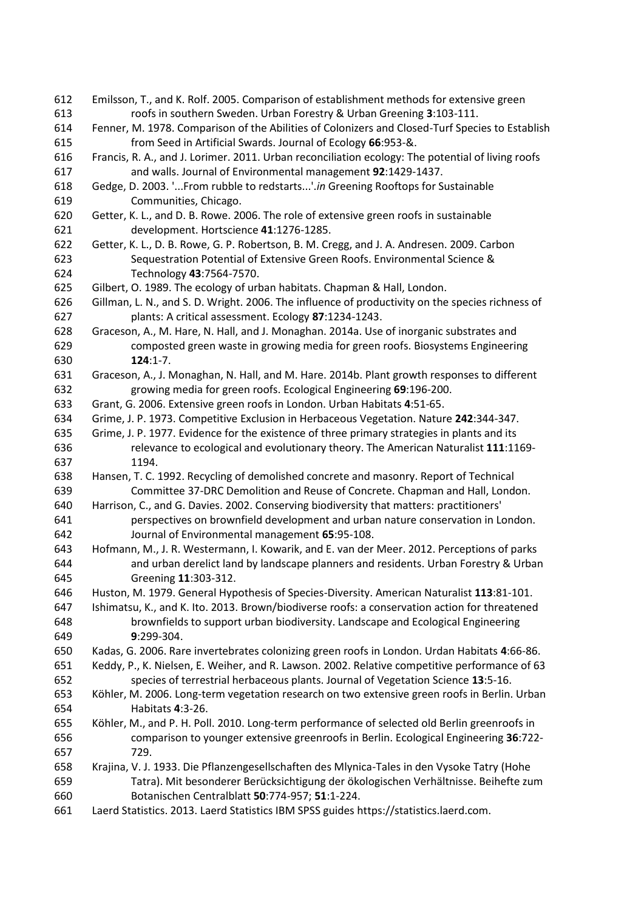<span id="page-24-22"></span><span id="page-24-21"></span><span id="page-24-20"></span><span id="page-24-19"></span><span id="page-24-18"></span><span id="page-24-17"></span><span id="page-24-16"></span><span id="page-24-15"></span><span id="page-24-14"></span><span id="page-24-13"></span><span id="page-24-12"></span><span id="page-24-11"></span><span id="page-24-10"></span><span id="page-24-9"></span><span id="page-24-8"></span><span id="page-24-7"></span><span id="page-24-6"></span><span id="page-24-5"></span><span id="page-24-4"></span><span id="page-24-3"></span><span id="page-24-2"></span><span id="page-24-1"></span><span id="page-24-0"></span> Emilsson, T., and K. Rolf. 2005. Comparison of establishment methods for extensive green roofs in southern Sweden. Urban Forestry & Urban Greening **3**:103-111. Fenner, M. 1978. Comparison of the Abilities of Colonizers and Closed-Turf Species to Establish from Seed in Artificial Swards. Journal of Ecology **66**:953-&. Francis, R. A., and J. Lorimer. 2011. Urban reconciliation ecology: The potential of living roofs and walls. Journal of Environmental management **92**:1429-1437. Gedge, D. 2003. '...From rubble to redstarts...'.*in* Greening Rooftops for Sustainable Communities, Chicago. Getter, K. L., and D. B. Rowe. 2006. The role of extensive green roofs in sustainable development. Hortscience **41**:1276-1285. Getter, K. L., D. B. Rowe, G. P. Robertson, B. M. Cregg, and J. A. Andresen. 2009. Carbon Sequestration Potential of Extensive Green Roofs. Environmental Science & Technology **43**:7564-7570. Gilbert, O. 1989. The ecology of urban habitats. Chapman & Hall, London. Gillman, L. N., and S. D. Wright. 2006. The influence of productivity on the species richness of plants: A critical assessment. Ecology **87**:1234-1243. Graceson, A., M. Hare, N. Hall, and J. Monaghan. 2014a. Use of inorganic substrates and composted green waste in growing media for green roofs. Biosystems Engineering **124**:1-7. Graceson, A., J. Monaghan, N. Hall, and M. Hare. 2014b. Plant growth responses to different growing media for green roofs. Ecological Engineering **69**:196-200. Grant, G. 2006. Extensive green roofs in London. Urban Habitats **4**:51-65. Grime, J. P. 1973. Competitive Exclusion in Herbaceous Vegetation. Nature **242**:344-347. Grime, J. P. 1977. Evidence for the existence of three primary strategies in plants and its relevance to ecological and evolutionary theory. The American Naturalist **111**:1169- 1194. Hansen, T. C. 1992. Recycling of demolished concrete and masonry. Report of Technical Committee 37-DRC Demolition and Reuse of Concrete. Chapman and Hall, London. Harrison, C., and G. Davies. 2002. Conserving biodiversity that matters: practitioners' perspectives on brownfield development and urban nature conservation in London. Journal of Environmental management **65**:95-108. Hofmann, M., J. R. Westermann, I. Kowarik, and E. van der Meer. 2012. Perceptions of parks and urban derelict land by landscape planners and residents. Urban Forestry & Urban Greening **11**:303-312. Huston, M. 1979. General Hypothesis of Species-Diversity. American Naturalist **113**:81-101. Ishimatsu, K., and K. Ito. 2013. Brown/biodiverse roofs: a conservation action for threatened brownfields to support urban biodiversity. Landscape and Ecological Engineering **9**:299-304. Kadas, G. 2006. Rare invertebrates colonizing green roofs in London. Urdan Habitats **4**:66-86. Keddy, P., K. Nielsen, E. Weiher, and R. Lawson. 2002. Relative competitive performance of 63 species of terrestrial herbaceous plants. Journal of Vegetation Science **13**:5-16. Köhler, M. 2006. Long-term vegetation research on two extensive green roofs in Berlin. Urban Habitats **4**:3-26. Köhler, M., and P. H. Poll. 2010. Long-term performance of selected old Berlin greenroofs in comparison to younger extensive greenroofs in Berlin. Ecological Engineering **36**:722- 729. Krajina, V. J. 1933. Die Pflanzengesellschaften des Mlynica-Tales in den Vysoke Tatry (Hohe Tatra). Mit besonderer Berücksichtigung der ökologischen Verhältnisse. Beihefte zum Botanischen Centralblatt **50**:774-957; **51**:1-224. Laerd Statistics. 2013. Laerd Statistics IBM SPSS guides https://statistics.laerd.com.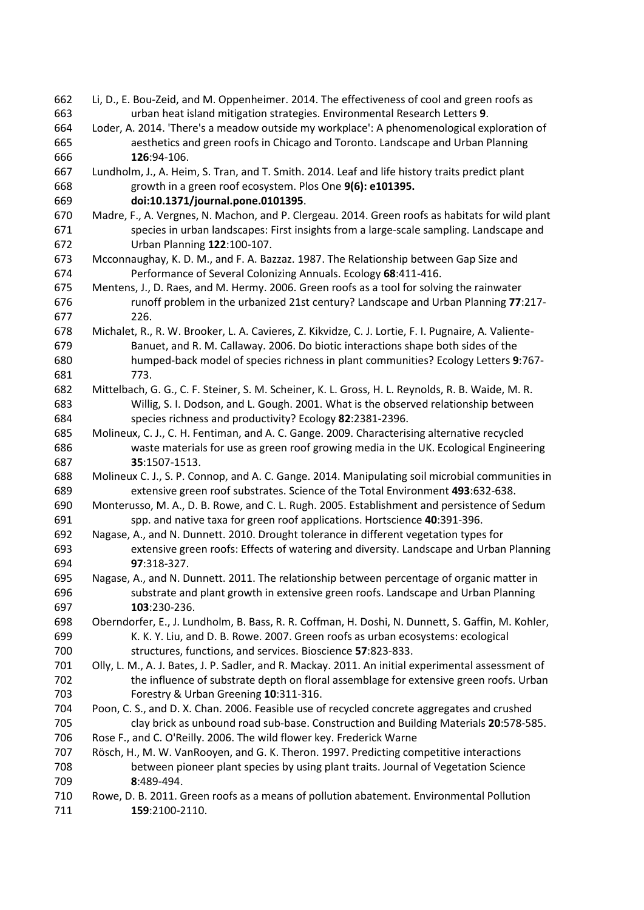<span id="page-25-16"></span><span id="page-25-15"></span><span id="page-25-14"></span><span id="page-25-13"></span><span id="page-25-12"></span><span id="page-25-11"></span><span id="page-25-10"></span><span id="page-25-9"></span><span id="page-25-8"></span><span id="page-25-7"></span><span id="page-25-6"></span><span id="page-25-5"></span><span id="page-25-4"></span><span id="page-25-3"></span><span id="page-25-2"></span><span id="page-25-1"></span><span id="page-25-0"></span> Li, D., E. Bou-Zeid, and M. Oppenheimer. 2014. The effectiveness of cool and green roofs as urban heat island mitigation strategies. Environmental Research Letters **9**. Loder, A. 2014. 'There's a meadow outside my workplace': A phenomenological exploration of aesthetics and green roofs in Chicago and Toronto. Landscape and Urban Planning **126**:94-106. Lundholm, J., A. Heim, S. Tran, and T. Smith. 2014. Leaf and life history traits predict plant growth in a green roof ecosystem. Plos One **9(6): e101395. doi:10.1371/journal.pone.0101395**. Madre, F., A. Vergnes, N. Machon, and P. Clergeau. 2014. Green roofs as habitats for wild plant species in urban landscapes: First insights from a large-scale sampling. Landscape and Urban Planning **122**:100-107. Mcconnaughay, K. D. M., and F. A. Bazzaz. 1987. The Relationship between Gap Size and Performance of Several Colonizing Annuals. Ecology **68**:411-416. Mentens, J., D. Raes, and M. Hermy. 2006. Green roofs as a tool for solving the rainwater runoff problem in the urbanized 21st century? Landscape and Urban Planning **77**:217- 226. Michalet, R., R. W. Brooker, L. A. Cavieres, Z. Kikvidze, C. J. Lortie, F. I. Pugnaire, A. Valiente- Banuet, and R. M. Callaway. 2006. Do biotic interactions shape both sides of the humped-back model of species richness in plant communities? Ecology Letters **9**:767- 773. Mittelbach, G. G., C. F. Steiner, S. M. Scheiner, K. L. Gross, H. L. Reynolds, R. B. Waide, M. R. Willig, S. I. Dodson, and L. Gough. 2001. What is the observed relationship between species richness and productivity? Ecology **82**:2381-2396. Molineux, C. J., C. H. Fentiman, and A. C. Gange. 2009. Characterising alternative recycled waste materials for use as green roof growing media in the UK. Ecological Engineering **35**:1507-1513. Molineux C. J., S. P. Connop, and A. C. Gange. 2014. Manipulating soil microbial communities in extensive green roof substrates. Science of the Total Environment **493**:632-638. Monterusso, M. A., D. B. Rowe, and C. L. Rugh. 2005. Establishment and persistence of Sedum spp. and native taxa for green roof applications. Hortscience **40**:391-396. Nagase, A., and N. Dunnett. 2010. Drought tolerance in different vegetation types for extensive green roofs: Effects of watering and diversity. Landscape and Urban Planning **97**:318-327. Nagase, A., and N. Dunnett. 2011. The relationship between percentage of organic matter in substrate and plant growth in extensive green roofs. Landscape and Urban Planning **103**:230-236. Oberndorfer, E., J. Lundholm, B. Bass, R. R. Coffman, H. Doshi, N. Dunnett, S. Gaffin, M. Kohler, K. K. Y. Liu, and D. B. Rowe. 2007. Green roofs as urban ecosystems: ecological structures, functions, and services. Bioscience **57**:823-833. Olly, L. M., A. J. Bates, J. P. Sadler, and R. Mackay. 2011. An initial experimental assessment of the influence of substrate depth on floral assemblage for extensive green roofs. Urban Forestry & Urban Greening **10**:311-316. Poon, C. S., and D. X. Chan. 2006. Feasible use of recycled concrete aggregates and crushed clay brick as unbound road sub-base. Construction and Building Materials **20**:578-585. Rose F., and C. O'Reilly. 2006. The wild flower key. Frederick Warne Rösch, H., M. W. VanRooyen, and G. K. Theron. 1997. Predicting competitive interactions between pioneer plant species by using plant traits. Journal of Vegetation Science **8**:489-494. Rowe, D. B. 2011. Green roofs as a means of pollution abatement. Environmental Pollution **159**:2100-2110.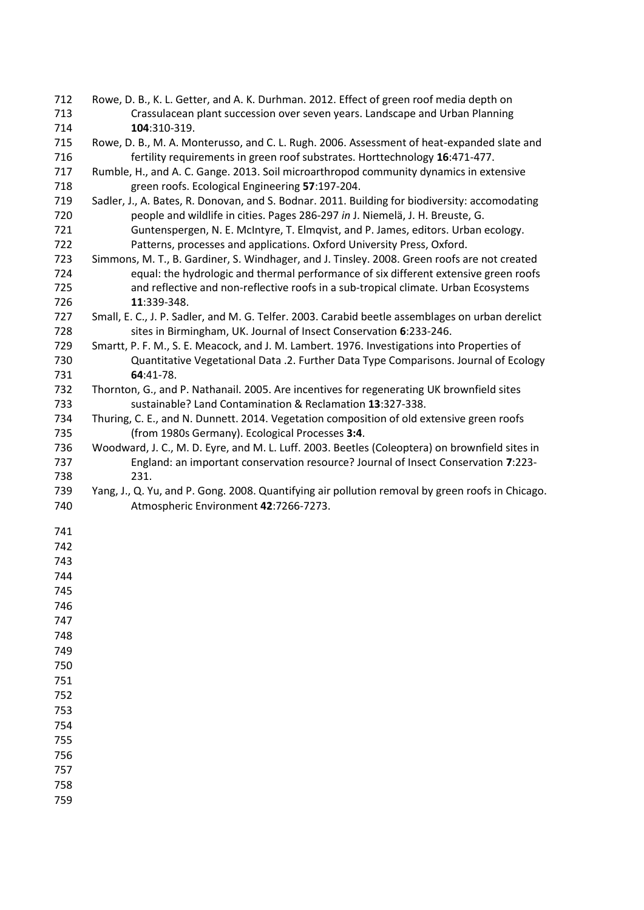- <span id="page-26-7"></span> Rowe, D. B., K. L. Getter, and A. K. Durhman. 2012. Effect of green roof media depth on Crassulacean plant succession over seven years. Landscape and Urban Planning **104**:310-319.
- <span id="page-26-10"></span> Rowe, D. B., M. A. Monterusso, and C. L. Rugh. 2006. Assessment of heat-expanded slate and fertility requirements in green roof substrates. Horttechnology **16**:471-477.
- <span id="page-26-1"></span> Rumble, H., and A. C. Gange. 2013. Soil microarthropod community dynamics in extensive green roofs. Ecological Engineering **57**:197-204.
- <span id="page-26-4"></span> Sadler, J., A. Bates, R. Donovan, and S. Bodnar. 2011. Building for biodiversity: accomodating people and wildlife in cities. Pages 286-297 *in* J. Niemelä, J. H. Breuste, G. Guntenspergen, N. E. McIntyre, T. Elmqvist, and P. James, editors. Urban ecology. Patterns, processes and applications. Oxford University Press, Oxford.
- <span id="page-26-2"></span> Simmons, M. T., B. Gardiner, S. Windhager, and J. Tinsley. 2008. Green roofs are not created equal: the hydrologic and thermal performance of six different extensive green roofs and reflective and non-reflective roofs in a sub-tropical climate. Urban Ecosystems **11**:339-348.
- <span id="page-26-5"></span> Small, E. C., J. P. Sadler, and M. G. Telfer. 2003. Carabid beetle assemblages on urban derelict sites in Birmingham, UK. Journal of Insect Conservation **6**:233-246.
- <span id="page-26-9"></span> Smartt, P. F. M., S. E. Meacock, and J. M. Lambert. 1976. Investigations into Properties of Quantitative Vegetational Data .2. Further Data Type Comparisons. Journal of Ecology **64**:41-78.
- <span id="page-26-3"></span> Thornton, G., and P. Nathanail. 2005. Are incentives for regenerating UK brownfield sites sustainable? Land Contamination & Reclamation **13**:327-338.
- <span id="page-26-8"></span> Thuring, C. E., and N. Dunnett. 2014. Vegetation composition of old extensive green roofs (from 1980s Germany). Ecological Processes **3:4**.
- <span id="page-26-6"></span> Woodward, J. C., M. D. Eyre, and M. L. Luff. 2003. Beetles (Coleoptera) on brownfield sites in England: an important conservation resource? Journal of Insect Conservation **7**:223- 231.
- <span id="page-26-0"></span> Yang, J., Q. Yu, and P. Gong. 2008. Quantifying air pollution removal by green roofs in Chicago. Atmospheric Environment **42**:7266-7273.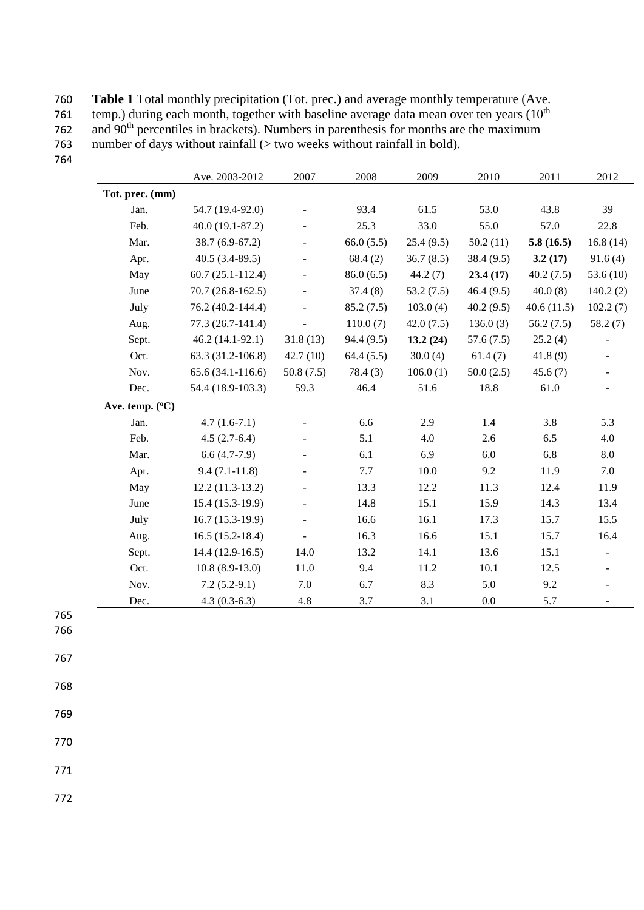760 **Table 1** Total monthly precipitation (Tot. prec.) and average monthly temperature (Ave.<br>761 temp.) during each month, together with baseline average data mean over ten vears (10<sup>th</sup>) 761 temp.) during each month, together with baseline average data mean over ten years ( $10^{th}$  $762$  and  $90<sup>th</sup>$  percentiles in brackets). Numbers in parenthesis for months are the maximum 763 number of days without rainfall (> two weeks without rainfall in bold).

|                 | Ave. 2003-2012       | 2007                     | 2008       | 2009      | 2010      | 2011       | 2012        |
|-----------------|----------------------|--------------------------|------------|-----------|-----------|------------|-------------|
| Tot. prec. (mm) |                      |                          |            |           |           |            |             |
| Jan.            | 54.7 (19.4-92.0)     |                          | 93.4       | 61.5      | 53.0      | 43.8       | 39          |
| Feb.            | $40.0(19.1-87.2)$    | $\overline{\phantom{a}}$ | 25.3       | 33.0      | 55.0      | 57.0       | 22.8        |
| Mar.            | $38.7(6.9-67.2)$     |                          | 66.0(5.5)  | 25.4(9.5) | 50.2(11)  | 5.8(16.5)  | 16.8(14)    |
| Apr.            | $40.5(3.4-89.5)$     |                          | 68.4(2)    | 36.7(8.5) | 38.4(9.5) | 3.2(17)    | 91.6(4)     |
| May             | $60.7(25.1 - 112.4)$ | $\overline{\phantom{a}}$ | 86.0(6.5)  | 44.2(7)   | 23.4(17)  | 40.2(7.5)  | 53.6 $(10)$ |
| June            | $70.7(26.8-162.5)$   |                          | 37.4(8)    | 53.2(7.5) | 46.4(9.5) | 40.0(8)    | 140.2(2)    |
| July            | 76.2 (40.2-144.4)    |                          | 85.2(7.5)  | 103.0(4)  | 40.2(9.5) | 40.6(11.5) | 102.2(7)    |
| Aug.            | 77.3 (26.7-141.4)    |                          | 110.0(7)   | 42.0(7.5) | 136.0(3)  | 56.2(7.5)  | 58.2(7)     |
| Sept.           | $46.2(14.1-92.1)$    | 31.8(13)                 | 94.4 (9.5) | 13.2(24)  | 57.6(7.5) | 25.2(4)    |             |
| Oct.            | 63.3 (31.2-106.8)    | 42.7(10)                 | 64.4(5.5)  | 30.0(4)   | 61.4(7)   | 41.8(9)    |             |
| Nov.            | $65.6(34.1-116.6)$   | 50.8(7.5)                | 78.4(3)    | 106.0(1)  | 50.0(2.5) | 45.6(7)    |             |
| Dec.            | 54.4 (18.9-103.3)    | 59.3                     | 46.4       | 51.6      | 18.8      | 61.0       |             |
| Ave. temp. (°C) |                      |                          |            |           |           |            |             |
| Jan.            | $4.7(1.6-7.1)$       |                          | 6.6        | 2.9       | 1.4       | 3.8        | 5.3         |
| Feb.            | $4.5(2.7-6.4)$       |                          | 5.1        | 4.0       | 2.6       | 6.5        | 4.0         |
| Mar.            | $6.6(4.7-7.9)$       |                          | 6.1        | 6.9       | 6.0       | 6.8        | 8.0         |
| Apr.            | $9.4(7.1-11.8)$      | $\overline{\phantom{a}}$ | 7.7        | 10.0      | 9.2       | 11.9       | 7.0         |
| May             | $12.2(11.3-13.2)$    | $\blacksquare$           | 13.3       | 12.2      | 11.3      | 12.4       | 11.9        |
| June            | 15.4 (15.3-19.9)     | $\overline{a}$           | 14.8       | 15.1      | 15.9      | 14.3       | 13.4        |
| July            | $16.7(15.3-19.9)$    | $\overline{\phantom{a}}$ | 16.6       | 16.1      | 17.3      | 15.7       | 15.5        |
| Aug.            | $16.5(15.2-18.4)$    |                          | 16.3       | 16.6      | 15.1      | 15.7       | 16.4        |
| Sept.           | $14.4(12.9-16.5)$    | 14.0                     | 13.2       | 14.1      | 13.6      | 15.1       |             |
| Oct.            | $10.8(8.9-13.0)$     | 11.0                     | 9.4        | 11.2      | 10.1      | 12.5       |             |
| Nov.            | $7.2(5.2-9.1)$       | 7.0                      | 6.7        | 8.3       | 5.0       | 9.2        |             |
| Dec.            | $4.3(0.3-6.3)$       | 4.8                      | 3.7        | 3.1       | $0.0\,$   | 5.7        |             |

765

766

767

768

769

770

771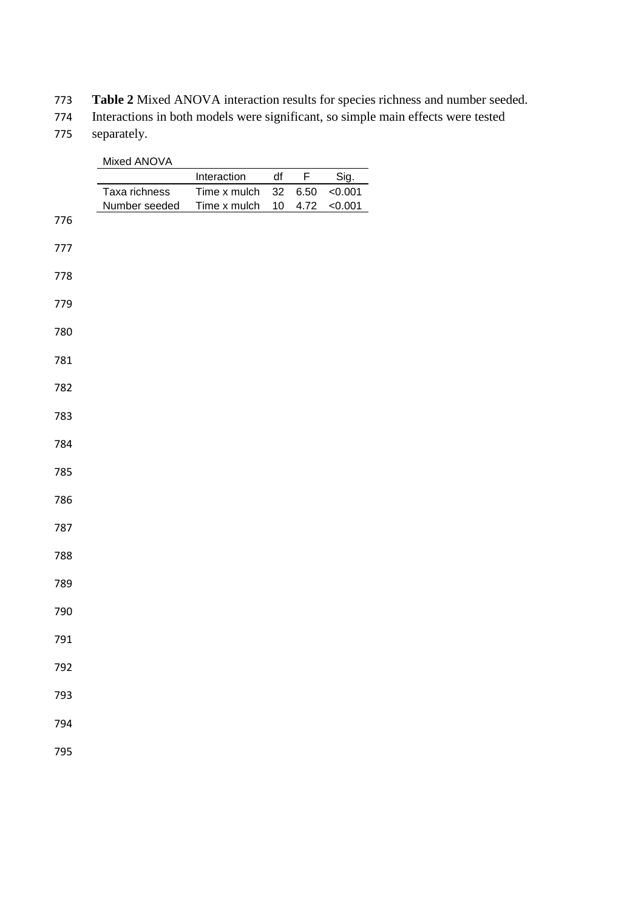**Table 2** Mixed ANOVA interaction results for species richness and number seeded.

Interactions in both models were significant, so simple main effects were tested

separately.

|     | Mixed ANOVA   |              |      |      |         |
|-----|---------------|--------------|------|------|---------|
|     |               | Interaction  | df   | F    | Sig.    |
|     | Taxa richness | Time x mulch | 32   | 6.50 | < 0.001 |
| 776 | Number seeded | Time x mulch | $10$ | 4.72 | < 0.001 |
|     |               |              |      |      |         |
| 777 |               |              |      |      |         |
| 778 |               |              |      |      |         |
|     |               |              |      |      |         |
| 779 |               |              |      |      |         |
| 780 |               |              |      |      |         |
| 781 |               |              |      |      |         |
|     |               |              |      |      |         |
| 782 |               |              |      |      |         |
| 783 |               |              |      |      |         |
| 784 |               |              |      |      |         |
|     |               |              |      |      |         |
| 785 |               |              |      |      |         |
| 786 |               |              |      |      |         |
|     |               |              |      |      |         |
| 787 |               |              |      |      |         |
| 788 |               |              |      |      |         |
| 789 |               |              |      |      |         |
|     |               |              |      |      |         |
| 790 |               |              |      |      |         |
| 791 |               |              |      |      |         |
| 792 |               |              |      |      |         |
|     |               |              |      |      |         |
| 793 |               |              |      |      |         |
| 794 |               |              |      |      |         |
|     |               |              |      |      |         |
| 795 |               |              |      |      |         |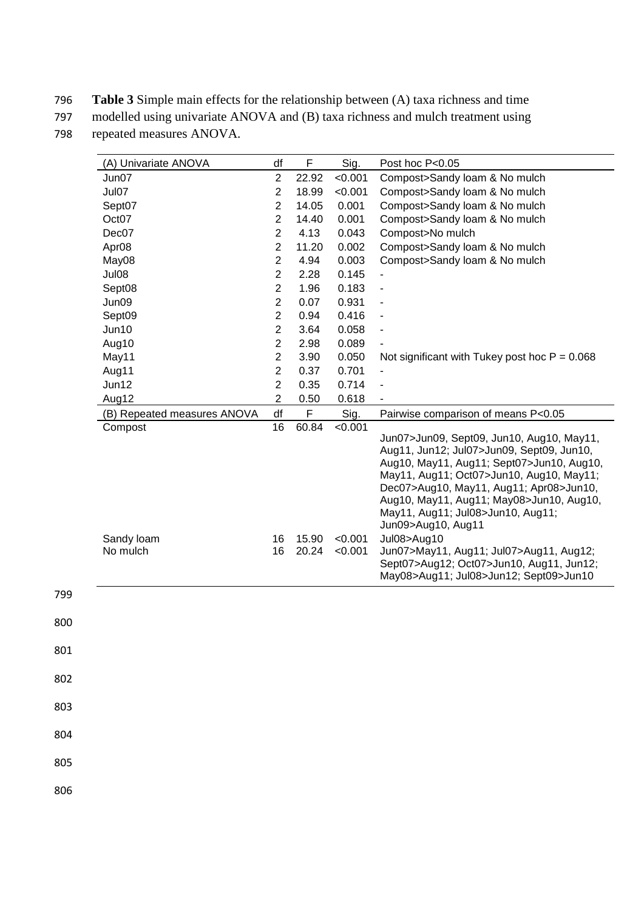796 **Table 3** Simple main effects for the relationship between (A) taxa richness and time

797 modelled using univariate ANOVA and (B) taxa richness and mulch treatment using

798 repeated measures ANOVA.

| (A) Univariate ANOVA        | df             | F              | Sig.               | Post hoc P<0.05                                                                                                                                                                                                                                                                                                                   |
|-----------------------------|----------------|----------------|--------------------|-----------------------------------------------------------------------------------------------------------------------------------------------------------------------------------------------------------------------------------------------------------------------------------------------------------------------------------|
| Jun07                       | $\overline{2}$ | 22.92          | < 0.001            | Compost>Sandy loam & No mulch                                                                                                                                                                                                                                                                                                     |
| Jul07                       | $\overline{2}$ | 18.99          | < 0.001            | Compost>Sandy loam & No mulch                                                                                                                                                                                                                                                                                                     |
| Sept07                      | $\overline{2}$ | 14.05          | 0.001              | Compost>Sandy loam & No mulch                                                                                                                                                                                                                                                                                                     |
| Oct07                       | $\overline{2}$ | 14.40          | 0.001              | Compost>Sandy loam & No mulch                                                                                                                                                                                                                                                                                                     |
| Dec07                       | $\overline{2}$ | 4.13           | 0.043              | Compost>No mulch                                                                                                                                                                                                                                                                                                                  |
| Apr <sub>08</sub>           | $\overline{c}$ | 11.20          | 0.002              | Compost>Sandy loam & No mulch                                                                                                                                                                                                                                                                                                     |
| May08                       | $\overline{2}$ | 4.94           | 0.003              | Compost>Sandy loam & No mulch                                                                                                                                                                                                                                                                                                     |
| Jul08                       | $\overline{2}$ | 2.28           | 0.145              |                                                                                                                                                                                                                                                                                                                                   |
| Sept08                      | $\overline{2}$ | 1.96           | 0.183              | $\blacksquare$                                                                                                                                                                                                                                                                                                                    |
| Jun09                       | $\overline{2}$ | 0.07           | 0.931              |                                                                                                                                                                                                                                                                                                                                   |
| Sept09                      | $\overline{c}$ | 0.94           | 0.416              |                                                                                                                                                                                                                                                                                                                                   |
| Jun10                       | $\overline{2}$ | 3.64           | 0.058              |                                                                                                                                                                                                                                                                                                                                   |
| Aug10                       | $\overline{2}$ | 2.98           | 0.089              |                                                                                                                                                                                                                                                                                                                                   |
| May11                       | $\overline{2}$ | 3.90           | 0.050              | Not significant with Tukey post hoc $P = 0.068$                                                                                                                                                                                                                                                                                   |
| Aug11                       | $\overline{c}$ | 0.37           | 0.701              |                                                                                                                                                                                                                                                                                                                                   |
| Jun12                       | $\overline{2}$ | 0.35           | 0.714              |                                                                                                                                                                                                                                                                                                                                   |
| Aug12                       | $\overline{2}$ | 0.50           | 0.618              |                                                                                                                                                                                                                                                                                                                                   |
| (B) Repeated measures ANOVA | df             | F              | Sig.               | Pairwise comparison of means P<0.05                                                                                                                                                                                                                                                                                               |
| Compost                     | 16             | 60.84          | < 0.001            | Jun07>Jun09, Sept09, Jun10, Aug10, May11,<br>Aug11, Jun12; Jul07>Jun09, Sept09, Jun10,<br>Aug10, May11, Aug11; Sept07>Jun10, Aug10,<br>May11, Aug11; Oct07>Jun10, Aug10, May11;<br>Dec07>Aug10, May11, Aug11; Apr08>Jun10,<br>Aug10, May11, Aug11; May08>Jun10, Aug10,<br>May11, Aug11; Jul08>Jun10, Aug11;<br>Jun09>Aug10, Aug11 |
| Sandy loam<br>No mulch      | 16<br>16       | 15.90<br>20.24 | < 0.001<br>< 0.001 | Jul08>Aug10<br>Jun07>May11, Aug11; Jul07>Aug11, Aug12;<br>Sept07>Aug12; Oct07>Jun10, Aug11, Jun12;<br>May08>Aug11; Jul08>Jun12; Sept09>Jun10                                                                                                                                                                                      |

799

800

801

802

803

804

805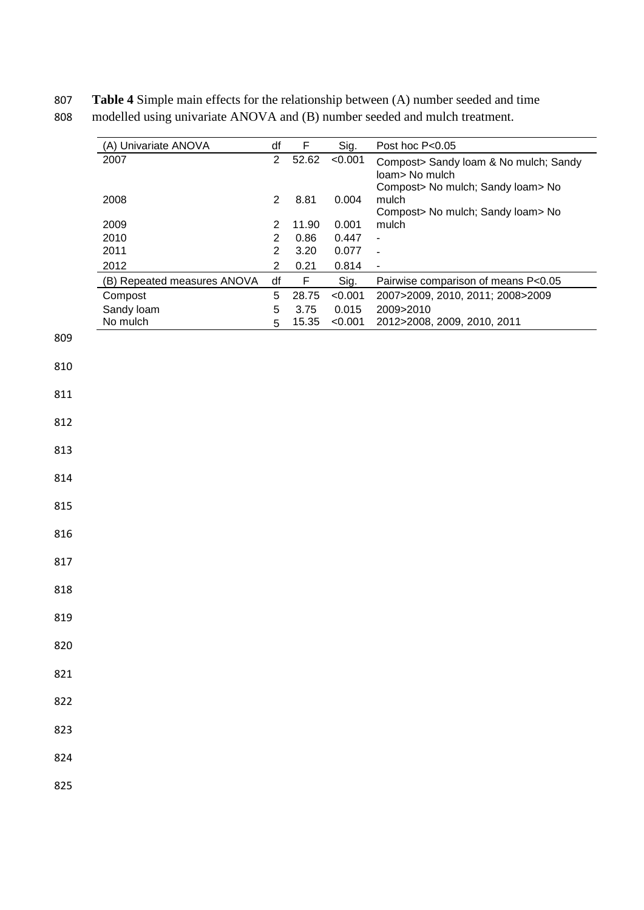**Table 4** Simple main effects for the relationship between (A) number seeded and time modelled using univariate ANOVA and (B) number seeded and mulch treatment.

| (A) Univariate ANOVA        | df             | F           | Sig.    | Post hoc P<0.05                            |
|-----------------------------|----------------|-------------|---------|--------------------------------------------|
| 2007                        | $\overline{2}$ | 52.62       | < 0.001 | Compost> Sandy Ioam & No mulch; Sandy      |
|                             |                |             |         | loam> No mulch                             |
| 2008                        | $\overline{2}$ | 8.81        | 0.004   | Compost> No mulch; Sandy loam> No<br>mulch |
|                             |                |             |         | Compost> No mulch; Sandy loam> No          |
| 2009                        | $\overline{c}$ | 11.90       | 0.001   | mulch                                      |
| 2010                        | $\overline{c}$ | 0.86        | 0.447   | $\overline{\phantom{a}}$                   |
| 2011                        | $\overline{c}$ | 3.20        | 0.077   | $\blacksquare$                             |
| 2012                        | $\overline{2}$ | 0.21        | 0.814   |                                            |
| (B) Repeated measures ANOVA | df             | $\mathsf F$ | Sig.    | Pairwise comparison of means P<0.05        |
| Compost                     | $\,$ 5 $\,$    | 28.75       | < 0.001 | 2007>2009, 2010, 2011; 2008>2009           |
| Sandy loam                  | $\mathbf 5$    | 3.75        | 0.015   | 2009>2010                                  |
| No mulch                    | 5              | 15.35       | < 0.001 | 2012>2008, 2009, 2010, 2011                |
|                             |                |             |         |                                            |
|                             |                |             |         |                                            |
|                             |                |             |         |                                            |
|                             |                |             |         |                                            |
|                             |                |             |         |                                            |
|                             |                |             |         |                                            |
|                             |                |             |         |                                            |
|                             |                |             |         |                                            |
|                             |                |             |         |                                            |
|                             |                |             |         |                                            |
|                             |                |             |         |                                            |
|                             |                |             |         |                                            |
|                             |                |             |         |                                            |
|                             |                |             |         |                                            |
|                             |                |             |         |                                            |
|                             |                |             |         |                                            |
|                             |                |             |         |                                            |
|                             |                |             |         |                                            |
|                             |                |             |         |                                            |
|                             |                |             |         |                                            |
|                             |                |             |         |                                            |
|                             |                |             |         |                                            |
|                             |                |             |         |                                            |
|                             |                |             |         |                                            |
|                             |                |             |         |                                            |
|                             |                |             |         |                                            |
|                             |                |             |         |                                            |
|                             |                |             |         |                                            |
|                             |                |             |         |                                            |
|                             |                |             |         |                                            |
|                             |                |             |         |                                            |
|                             |                |             |         |                                            |
|                             |                |             |         |                                            |
|                             |                |             |         |                                            |
|                             |                |             |         |                                            |
|                             |                |             |         |                                            |
|                             |                |             |         |                                            |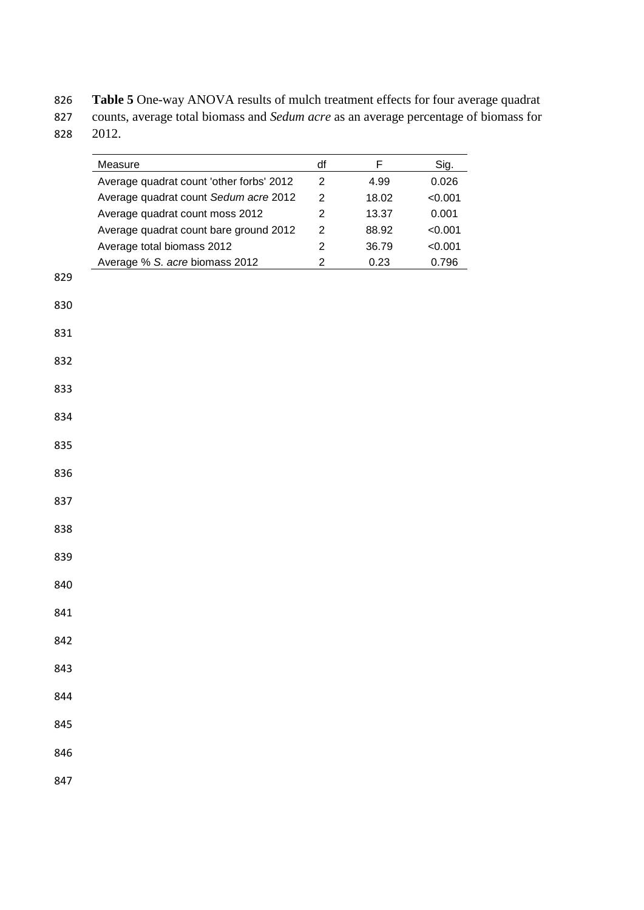**Table 5** One-way ANOVA results of mulch treatment effects for four average quadrat counts, average total biomass and *Sedum acre* as an average percentage of biomass for 2012.

|     | Measure                                  | df             | F     | Sig.    |
|-----|------------------------------------------|----------------|-------|---------|
|     | Average quadrat count 'other forbs' 2012 | $\overline{2}$ | 4.99  | 0.026   |
|     | Average quadrat count Sedum acre 2012    | 2              | 18.02 | < 0.001 |
|     | Average quadrat count moss 2012          | 2              | 13.37 | 0.001   |
|     | Average quadrat count bare ground 2012   | 2              | 88.92 | < 0.001 |
|     | Average total biomass 2012               | $\overline{2}$ | 36.79 | < 0.001 |
|     | Average % S. acre biomass 2012           | $\overline{2}$ | 0.23  | 0.796   |
| 829 |                                          |                |       |         |
| 830 |                                          |                |       |         |
|     |                                          |                |       |         |
| 831 |                                          |                |       |         |
|     |                                          |                |       |         |
| 832 |                                          |                |       |         |
| 833 |                                          |                |       |         |
|     |                                          |                |       |         |
| 834 |                                          |                |       |         |
| 835 |                                          |                |       |         |
|     |                                          |                |       |         |
| 836 |                                          |                |       |         |
| 837 |                                          |                |       |         |
|     |                                          |                |       |         |
| 838 |                                          |                |       |         |
|     |                                          |                |       |         |
| 839 |                                          |                |       |         |
| 840 |                                          |                |       |         |
|     |                                          |                |       |         |
| 841 |                                          |                |       |         |
| 842 |                                          |                |       |         |
|     |                                          |                |       |         |
| 843 |                                          |                |       |         |
| 844 |                                          |                |       |         |
|     |                                          |                |       |         |
| 845 |                                          |                |       |         |
|     |                                          |                |       |         |
| 846 |                                          |                |       |         |
| 847 |                                          |                |       |         |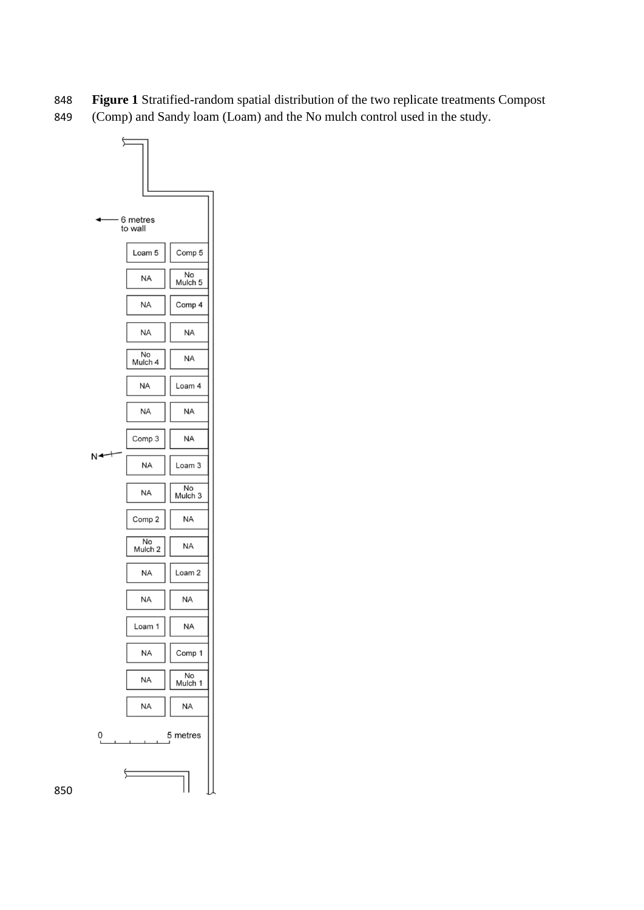- **Figure 1** Stratified-random spatial distribution of the two replicate treatments Compost
- (Comp) and Sandy loam (Loam) and the No mulch control used in the study.

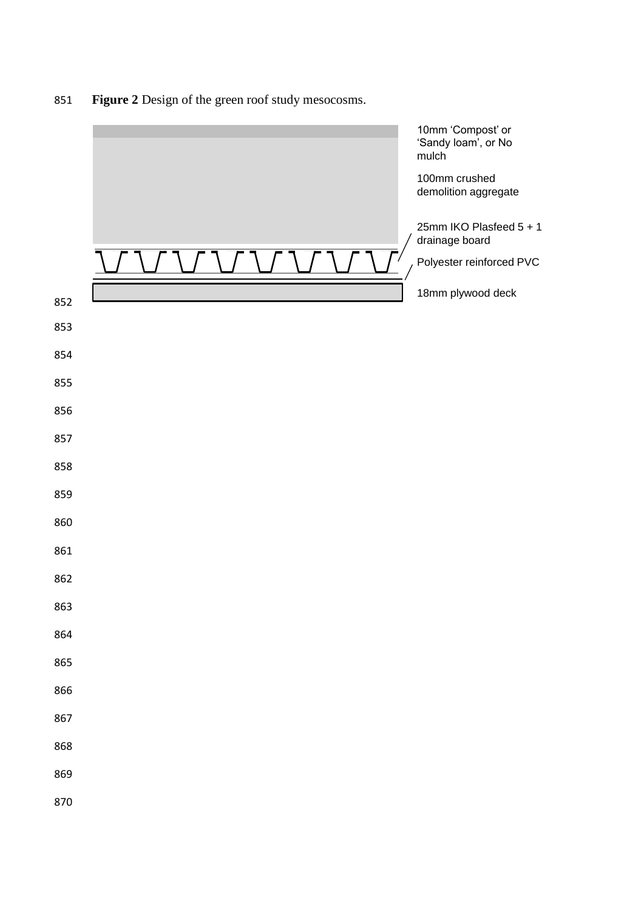**Figure 2** Design of the green roof study mesocosms.

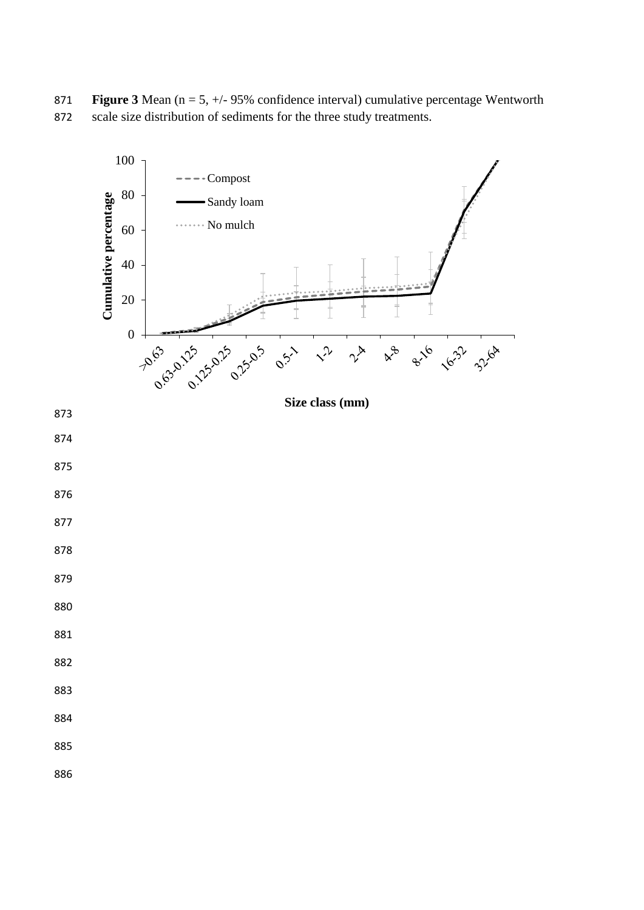**Figure 3** Mean (n = 5, +/- 95% confidence interval) cumulative percentage Wentworth scale size distribution of sediments for the three study treatments.

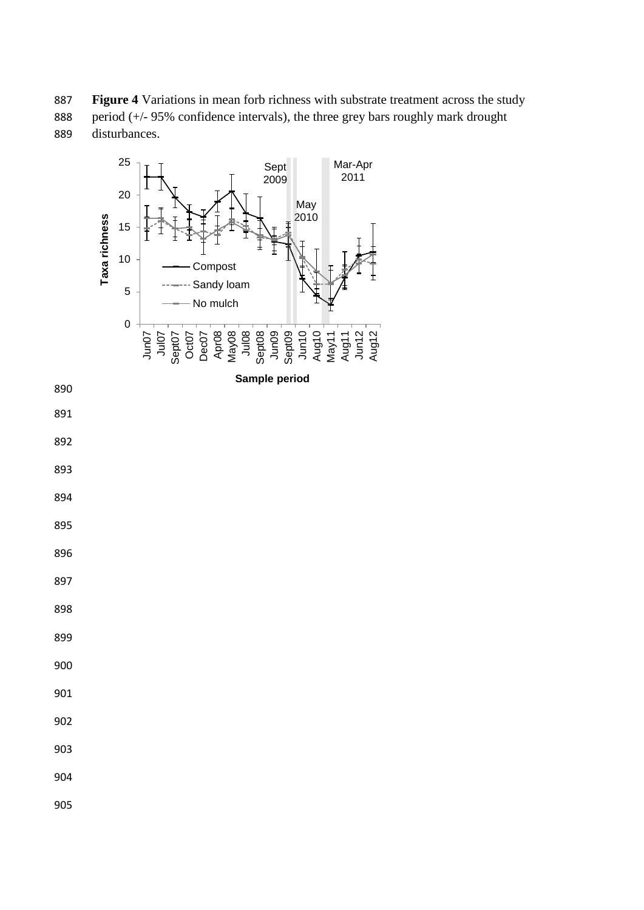**Figure 4** Variations in mean forb richness with substrate treatment across the study 888 period (+/- 95% confidence intervals), the three grey bars roughly mark drought disturbances.

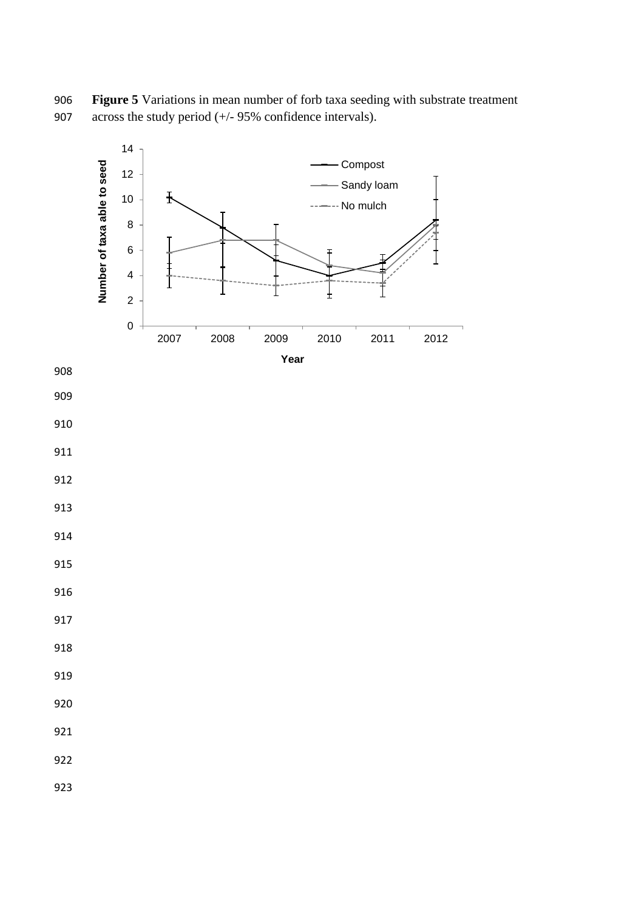**Figure 5** Variations in mean number of forb taxa seeding with substrate treatment across the study period (+/- 95% confidence intervals).

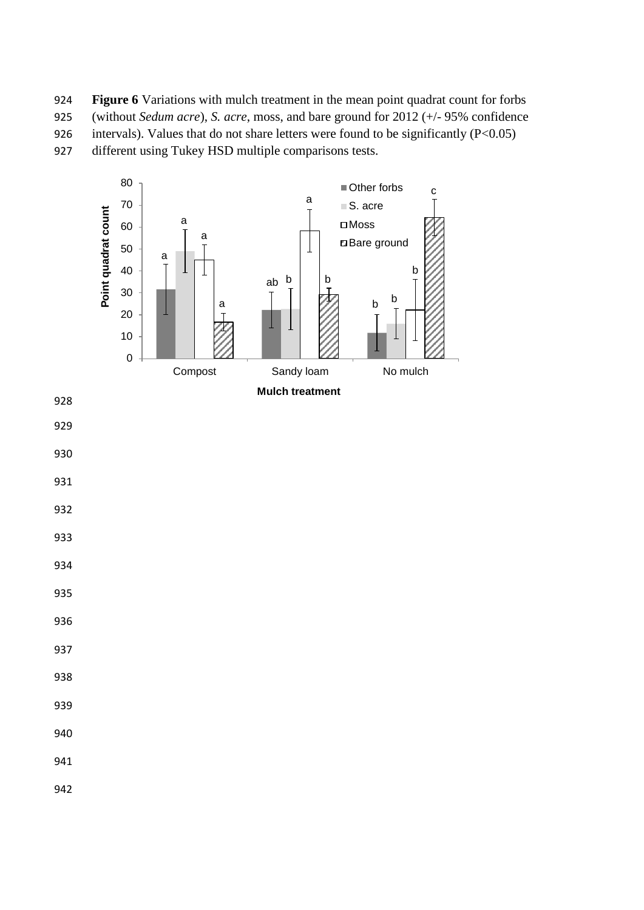924 **Figure 6** Variations with mulch treatment in the mean point quadrat count for forbs 925 (without *Sedum acre*), *S. acre*, moss, and bare ground for 2012 (+/- 95% confidence 926 intervals). Values that do not share letters were found to be significantly  $(P<0.05)$ 

927 different using Tukey HSD multiple comparisons tests.

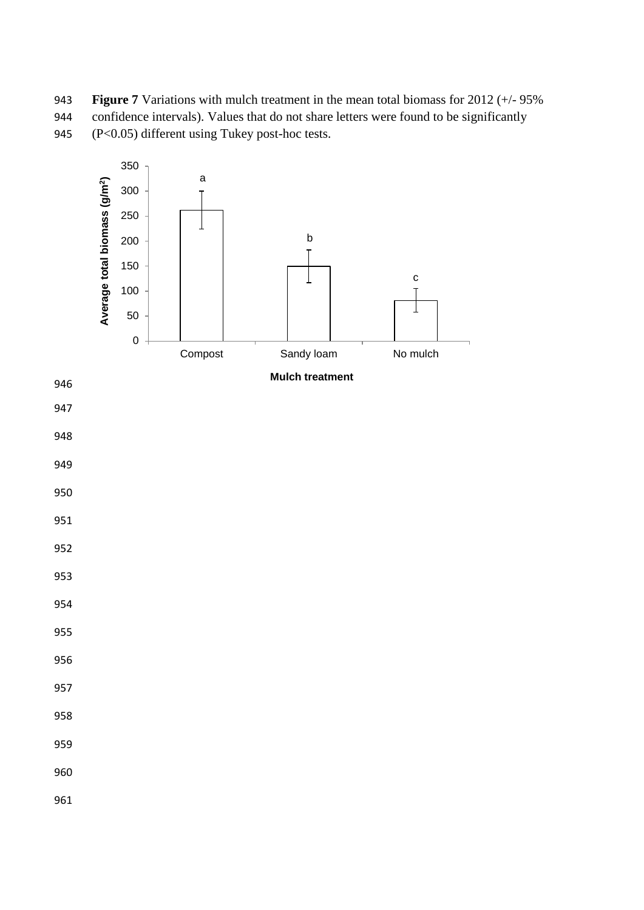**Figure 7** Variations with mulch treatment in the mean total biomass for 2012 (+/- 95% confidence intervals). Values that do not share letters were found to be significantly (P<0.05) different using Tukey post-hoc tests.

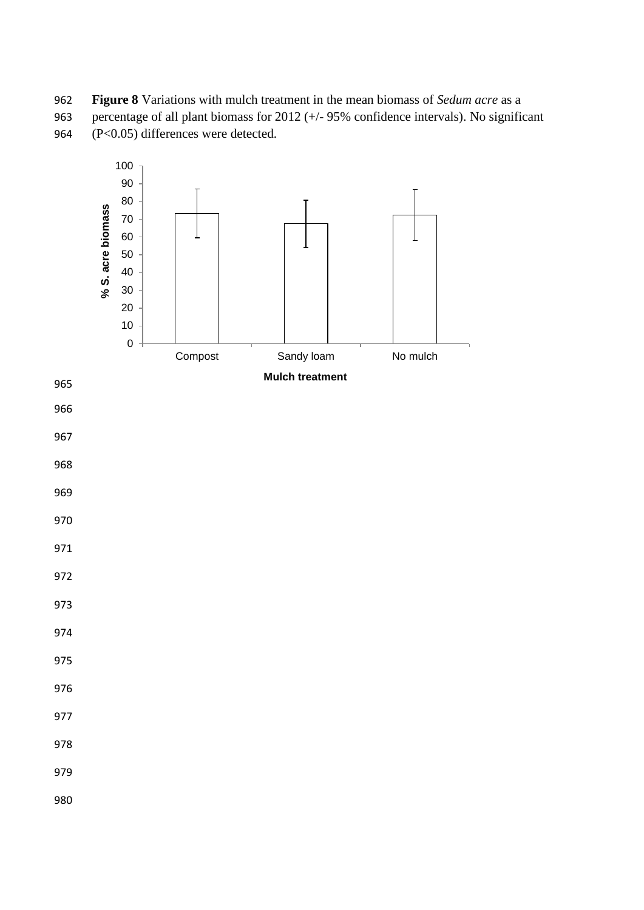**Figure 8** Variations with mulch treatment in the mean biomass of *Sedum acre* as a percentage of all plant biomass for 2012 (+/- 95% confidence intervals). No significant (P<0.05) differences were detected.

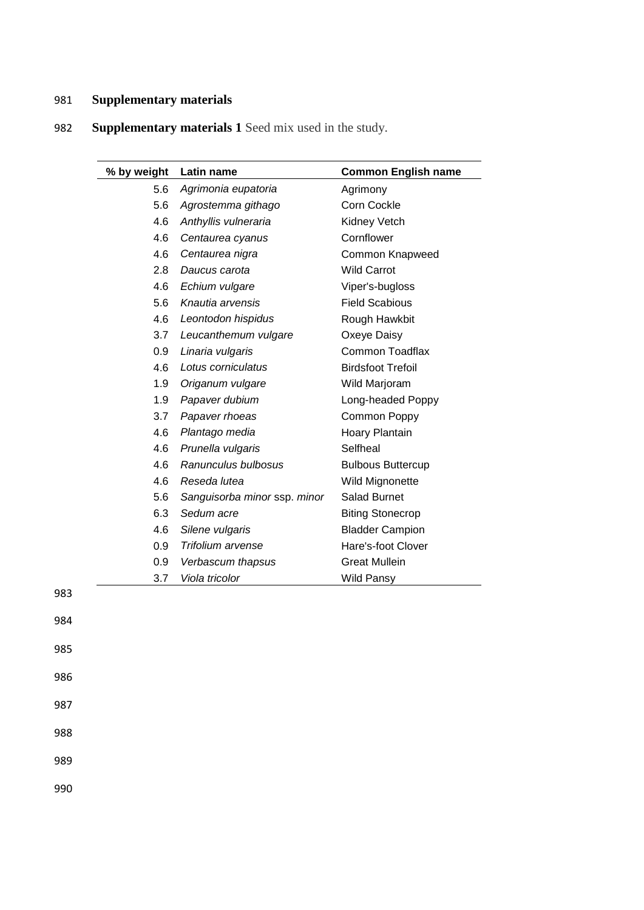## 981 **Supplementary materials**

| % by weight | Latin name                   | <b>Common English name</b> |
|-------------|------------------------------|----------------------------|
| 5.6         | Agrimonia eupatoria          | Agrimony                   |
| 5.6         | Agrostemma githago           | Corn Cockle                |
| 4.6         | Anthyllis vulneraria         | Kidney Vetch               |
| 4.6         | Centaurea cyanus             | Cornflower                 |
| 4.6         | Centaurea nigra              | Common Knapweed            |
| 2.8         | Daucus carota                | <b>Wild Carrot</b>         |
| 4.6         | Echium vulgare               | Viper's-bugloss            |
| 5.6         | Knautia arvensis             | <b>Field Scabious</b>      |
| 4.6         | Leontodon hispidus           | Rough Hawkbit              |
| 3.7         | Leucanthemum vulgare         | Oxeye Daisy                |
| 0.9         | Linaria vulgaris             | <b>Common Toadflax</b>     |
| 4.6         | Lotus corniculatus           | <b>Birdsfoot Trefoil</b>   |
| 1.9         | Origanum vulgare             | Wild Marjoram              |
| 1.9         | Papaver dubium               | Long-headed Poppy          |
| 3.7         | Papaver rhoeas               | Common Poppy               |
| 4.6         | Plantago media               | Hoary Plantain             |
| 4.6         | Prunella vulgaris            | Selfheal                   |
| 4.6         | Ranunculus bulbosus          | <b>Bulbous Buttercup</b>   |
| 4.6         | Reseda lutea                 | Wild Mignonette            |
| 5.6         | Sanguisorba minor ssp. minor | Salad Burnet               |
| 6.3         | Sedum acre                   | <b>Biting Stonecrop</b>    |
| 4.6         | Silene vulgaris              | <b>Bladder Campion</b>     |
| 0.9         | Trifolium arvense            | Hare's-foot Clover         |
| 0.9         | Verbascum thapsus            | <b>Great Mullein</b>       |
| 3.7         | Viola tricolor               | <b>Wild Pansy</b>          |

# 982 **Supplementary materials 1** Seed mix used in the study.

983

984

985

986

# 987 988

989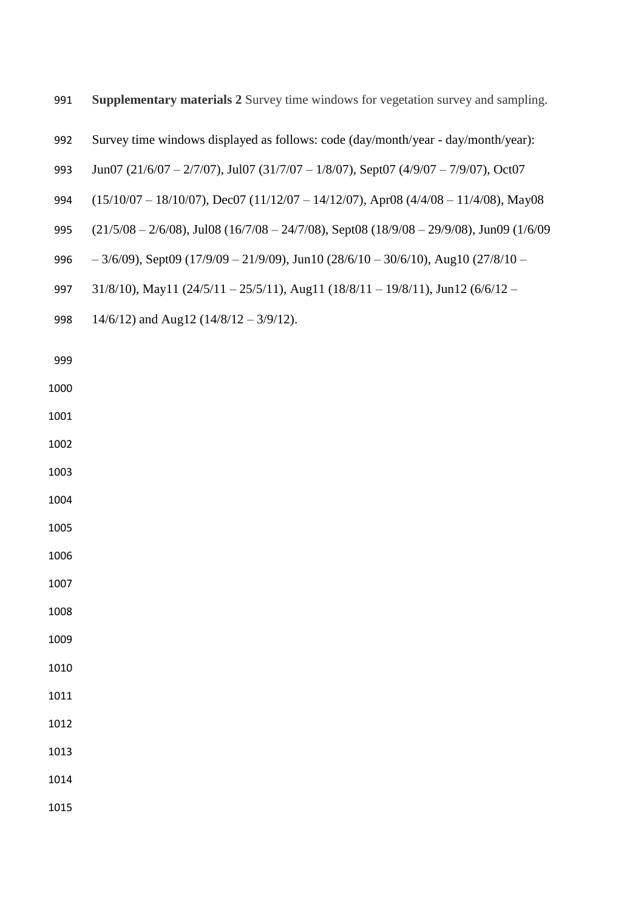- **Supplementary materials 2** Survey time windows for vegetation survey and sampling.
- Survey time windows displayed as follows: code (day/month/year day/month/year):
- Jun07 (21/6/07 2/7/07), Jul07 (31/7/07 1/8/07), Sept07 (4/9/07 7/9/07), Oct07
- (15/10/07 18/10/07), Dec07 (11/12/07 14/12/07), Apr08 (4/4/08 11/4/08), May08
- (21/5/08 2/6/08), Jul08 (16/7/08 24/7/08), Sept08 (18/9/08 29/9/08), Jun09 (1/6/09
- 996  $-3/6/09$ , Sept09 (17/9/09 21/9/09), Jun10 (28/6/10 30/6/10), Aug10 (27/8/10 –
- 31/8/10), May11 (24/5/11 25/5/11), Aug11 (18/8/11 19/8/11), Jun12 (6/6/12 –
- 998 14/6/12) and Aug12 (14/8/12 3/9/12).

- 
- 
- 
- 
- 
- 
- 
- 
- 
- 
- 
- 
- 
-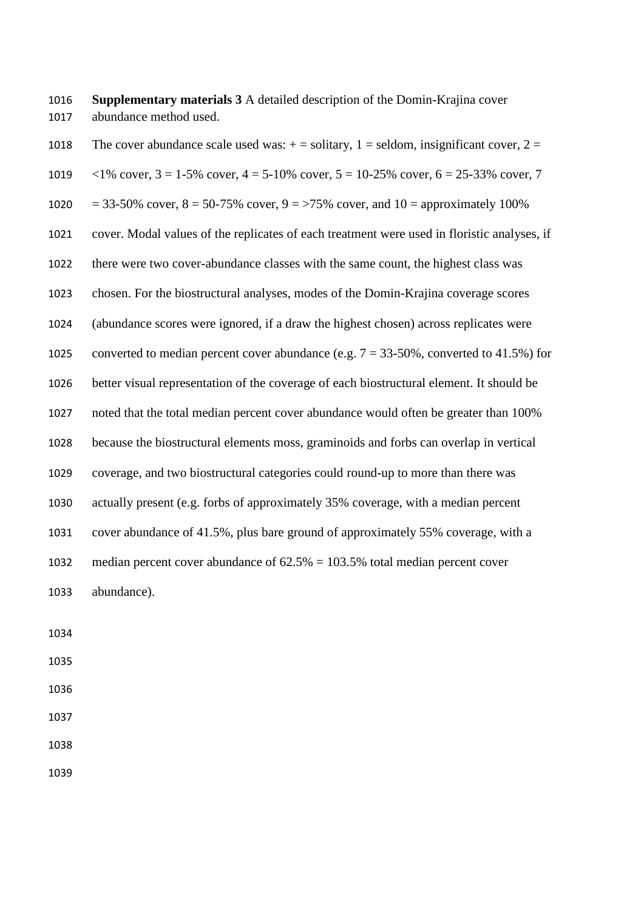**Supplementary materials 3** A detailed description of the Domin-Krajina cover abundance method used.

1018 The cover abundance scale used was:  $+$  = solitary, 1 = seldom, insignificant cover, 2 =  $\langle 1\% \text{ cover}, 3 = 1-5\% \text{ cover}, 4 = 5-10\% \text{ cover}, 5 = 10-25\% \text{ cover}, 6 = 25-33\% \text{ cover}, 7$ 1020 = 33-50% cover,  $8 = 50-75$ % cover,  $9 = 75$ % cover, and  $10 =$  approximately 100% cover. Modal values of the replicates of each treatment were used in floristic analyses, if there were two cover-abundance classes with the same count, the highest class was chosen. For the biostructural analyses, modes of the Domin-Krajina coverage scores (abundance scores were ignored, if a draw the highest chosen) across replicates were 1025 converted to median percent cover abundance (e.g.  $7 = 33-50\%$ , converted to 41.5%) for better visual representation of the coverage of each biostructural element. It should be noted that the total median percent cover abundance would often be greater than 100% because the biostructural elements moss, graminoids and forbs can overlap in vertical coverage, and two biostructural categories could round-up to more than there was actually present (e.g. forbs of approximately 35% coverage, with a median percent cover abundance of 41.5%, plus bare ground of approximately 55% coverage, with a 1032 median percent cover abundance of  $62.5\% = 103.5\%$  total median percent cover abundance).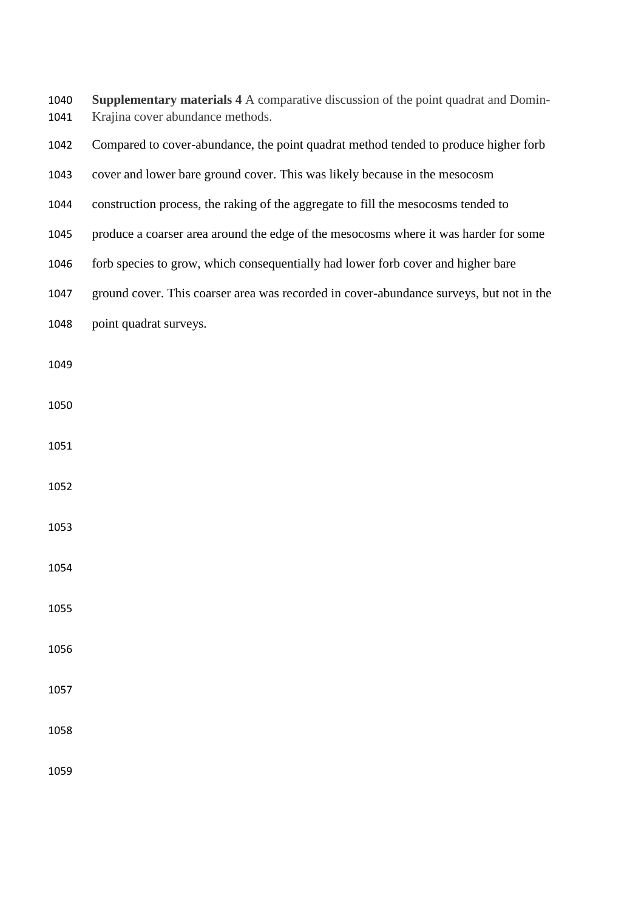| 1040 | <b>Supplementary materials 4 A comparative discussion of the point quadrat and Domin-</b> |
|------|-------------------------------------------------------------------------------------------|
| 1041 | Krajina cover abundance methods.                                                          |

- Compared to cover-abundance, the point quadrat method tended to produce higher forb
- cover and lower bare ground cover. This was likely because in the mesocosm
- construction process, the raking of the aggregate to fill the mesocosms tended to
- produce a coarser area around the edge of the mesocosms where it was harder for some
- forb species to grow, which consequentially had lower forb cover and higher bare
- ground cover. This coarser area was recorded in cover-abundance surveys, but not in the
- point quadrat surveys.
- 
- 
- 
- 
- 
- 
- 
- 
- 
- 
-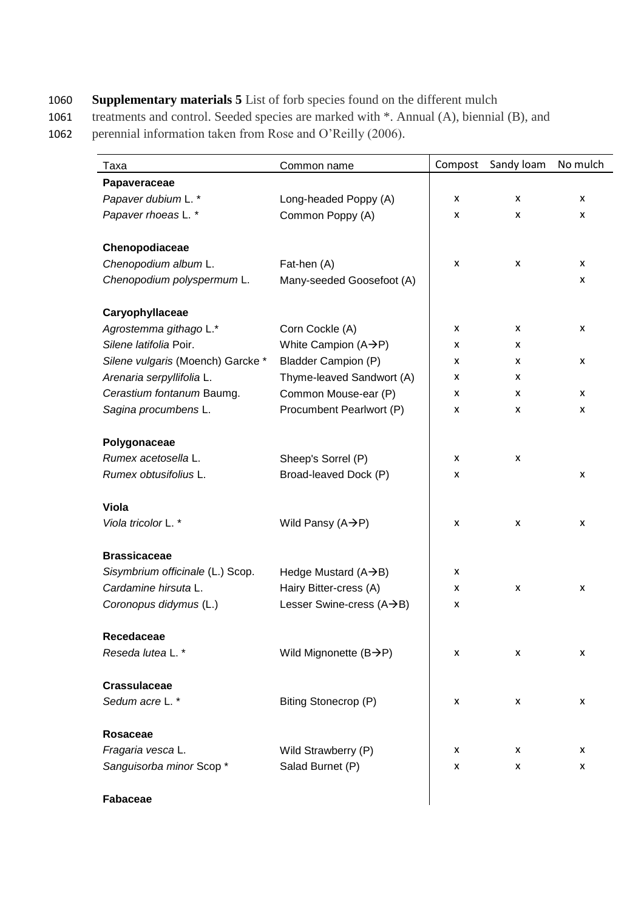## 1060 **Supplementary materials 5** List of forb species found on the different mulch

1061 treatments and control. Seeded species are marked with \*. Annual (A), biennial (B), and

1062 perennial information taken from Rose and O'Reilly (2006).

| Taxa                              | Common name                        | Compost | Sandy loam | No mulch |
|-----------------------------------|------------------------------------|---------|------------|----------|
| Papaveraceae                      |                                    |         |            |          |
| Papaver dubium L.*                | Long-headed Poppy (A)              | X       | x          | X        |
| Papaver rhoeas L. *               | Common Poppy (A)                   | X       | x          | X        |
|                                   |                                    |         |            |          |
| Chenopodiaceae                    |                                    |         |            |          |
| Chenopodium album L.              | Fat-hen (A)                        | X       | x          | X        |
| Chenopodium polyspermum L.        | Many-seeded Goosefoot (A)          |         |            | X        |
| Caryophyllaceae                   |                                    |         |            |          |
| Agrostemma githago L.*            | Corn Cockle (A)                    | x       | x          | X        |
| Silene latifolia Poir.            | White Campion $(A \rightarrow P)$  | x       | x          |          |
| Silene vulgaris (Moench) Garcke * | <b>Bladder Campion (P)</b>         | x       | x          | X        |
| Arenaria serpyllifolia L.         | Thyme-leaved Sandwort (A)          | x       | x          |          |
| Cerastium fontanum Baumg.         |                                    |         |            | X        |
|                                   | Common Mouse-ear (P)               | x       | x          |          |
| Sagina procumbens L.              | Procumbent Pearlwort (P)           | x       | x          | X        |
| Polygonaceae                      |                                    |         |            |          |
| Rumex acetosella L.               | Sheep's Sorrel (P)                 | x       | X          |          |
| Rumex obtusifolius L.             | Broad-leaved Dock (P)              | x       |            | X        |
|                                   |                                    |         |            |          |
| <b>Viola</b>                      |                                    |         |            |          |
| Viola tricolor L.*                | Wild Pansy $(A \rightarrow P)$     | X       | X          | X        |
| <b>Brassicaceae</b>               |                                    |         |            |          |
| Sisymbrium officinale (L.) Scop.  | Hedge Mustard $(A \rightarrow B)$  | X       |            |          |
| Cardamine hirsuta L.              | Hairy Bitter-cress (A)             | x       | X          | X        |
| Coronopus didymus (L.)            | Lesser Swine-cress (A→B)           | x       |            |          |
|                                   |                                    |         |            |          |
| Recedaceae                        |                                    |         |            |          |
| Reseda lutea L.*                  | Wild Mignonette $(B\rightarrow P)$ | x       | x          | X        |
| <b>Crassulaceae</b>               |                                    |         |            |          |
| Sedum acre L.*                    | Biting Stonecrop (P)               | X       | X          | X        |
|                                   |                                    |         |            |          |
| Rosaceae                          |                                    |         |            |          |
| Fragaria vesca L.                 | Wild Strawberry (P)                | x       | x          | X        |
| Sanguisorba minor Scop*           | Salad Burnet (P)                   | X       | x          | X        |
|                                   |                                    |         |            |          |

## **Fabaceae**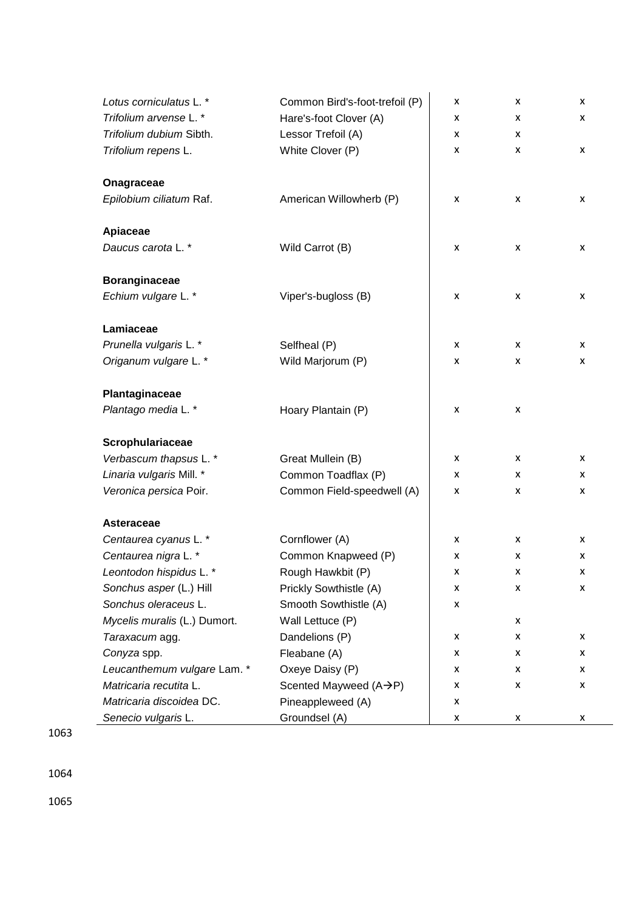| Lotus corniculatus L. *      | Common Bird's-foot-trefoil (P) | X | X                         | X |
|------------------------------|--------------------------------|---|---------------------------|---|
| Trifolium arvense L. *       | Hare's-foot Clover (A)         | x | x                         | x |
| Trifolium dubium Sibth.      | Lessor Trefoil (A)             | x | x                         |   |
| Trifolium repens L.          | White Clover (P)               | x | x                         | x |
|                              |                                |   |                           |   |
| Onagraceae                   |                                |   |                           |   |
| Epilobium ciliatum Raf.      | American Willowherb (P)        | X | X                         | x |
|                              |                                |   |                           |   |
| Apiaceae                     |                                |   |                           |   |
| Daucus carota L. *           | Wild Carrot (B)                | X | $\boldsymbol{\mathsf{x}}$ | x |
|                              |                                |   |                           |   |
| <b>Boranginaceae</b>         |                                |   |                           |   |
| Echium vulgare L.*           | Viper's-bugloss (B)            | X | X                         | x |
| Lamiaceae                    |                                |   |                           |   |
| Prunella vulgaris L. *       | Selfheal (P)                   | x | x                         | x |
|                              |                                |   |                           |   |
| Origanum vulgare L. *        | Wild Marjorum (P)              | x | X                         | X |
| Plantaginaceae               |                                |   |                           |   |
| Plantago media L.*           | Hoary Plantain (P)             | x | X                         |   |
|                              |                                |   |                           |   |
| Scrophulariaceae             |                                |   |                           |   |
| Verbascum thapsus L.*        | Great Mullein (B)              | x | X                         | X |
| Linaria vulgaris Mill. *     | Common Toadflax (P)            | x | x                         | x |
| Veronica persica Poir.       | Common Field-speedwell (A)     | x | x                         | X |
|                              |                                |   |                           |   |
| Asteraceae                   |                                |   |                           |   |
| Centaurea cyanus L. *        | Cornflower (A)                 | x | x                         | x |
| Centaurea nigra L. *         | Common Knapweed (P)            | X | x                         | X |
| Leontodon hispidus L.*       | Rough Hawkbit (P)              | x | X                         | x |
| Sonchus asper (L.) Hill      | Prickly Sowthistle (A)         | x | X                         | x |
| Sonchus oleraceus L.         | Smooth Sowthistle (A)          | x |                           |   |
| Mycelis muralis (L.) Dumort. | Wall Lettuce (P)               |   | x                         |   |
| Taraxacum agg.               | Dandelions (P)                 | x | x                         | x |
| Conyza spp.                  | Fleabane (A)                   | x | x                         | x |
| Leucanthemum vulgare Lam. *  | Oxeye Daisy (P)                | X | x                         | x |
| Matricaria recutita L.       | Scented Mayweed (A→P)          | X | x                         | x |
| Matricaria discoidea DC.     | Pineappleweed (A)              | x |                           |   |
| Senecio vulgaris L.          | Groundsel (A)                  | x | x                         | x |

1063

1064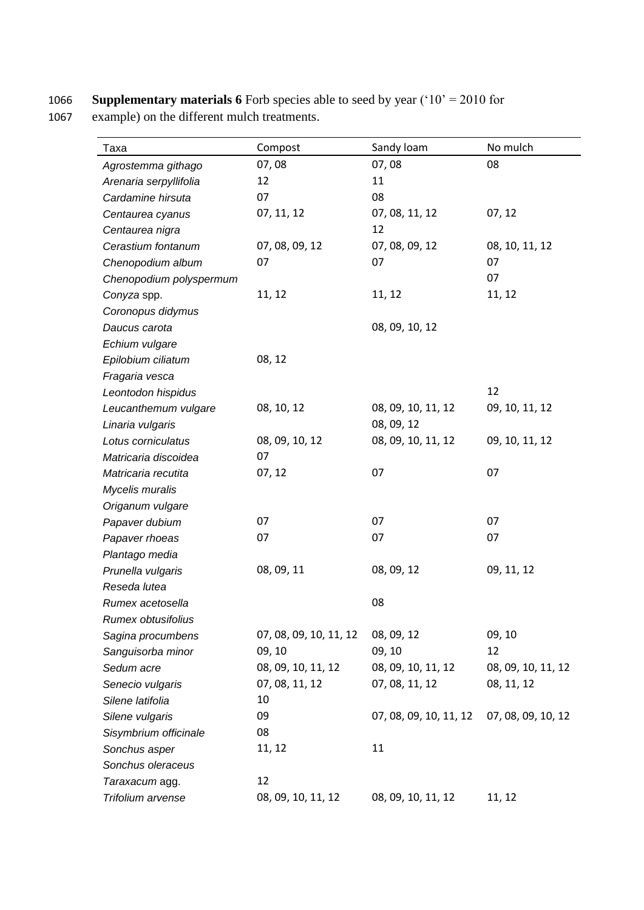1066 **Supplementary materials 6** Forb species able to seed by year ('10' = 2010 for

1067 example) on the different mulch treatments.

| Taxa                    | Compost                | Sandy loam             | No mulch           |
|-------------------------|------------------------|------------------------|--------------------|
| Agrostemma githago      | 07,08                  | 07,08                  | 08                 |
| Arenaria serpyllifolia  | 12                     | 11                     |                    |
| Cardamine hirsuta       | 07                     | 08                     |                    |
| Centaurea cyanus        | 07, 11, 12             | 07, 08, 11, 12         | 07, 12             |
| Centaurea nigra         |                        | 12                     |                    |
| Cerastium fontanum      | 07, 08, 09, 12         | 07, 08, 09, 12         | 08, 10, 11, 12     |
| Chenopodium album       | 07                     | 07                     | 07                 |
| Chenopodium polyspermum |                        |                        | 07                 |
| Conyza spp.             | 11, 12                 | 11, 12                 | 11, 12             |
| Coronopus didymus       |                        |                        |                    |
| Daucus carota           |                        | 08, 09, 10, 12         |                    |
| Echium vulgare          |                        |                        |                    |
| Epilobium ciliatum      | 08, 12                 |                        |                    |
| Fragaria vesca          |                        |                        |                    |
| Leontodon hispidus      |                        |                        | 12                 |
| Leucanthemum vulgare    | 08, 10, 12             | 08, 09, 10, 11, 12     | 09, 10, 11, 12     |
| Linaria vulgaris        |                        | 08, 09, 12             |                    |
| Lotus corniculatus      | 08, 09, 10, 12         | 08, 09, 10, 11, 12     | 09, 10, 11, 12     |
| Matricaria discoidea    | 07                     |                        |                    |
| Matricaria recutita     | 07, 12                 | 07                     | 07                 |
| Mycelis muralis         |                        |                        |                    |
| Origanum vulgare        |                        |                        |                    |
| Papaver dubium          | 07                     | 07                     | 07                 |
| Papaver rhoeas          | 07                     | 07                     | 07                 |
| Plantago media          |                        |                        |                    |
| Prunella vulgaris       | 08, 09, 11             | 08, 09, 12             | 09, 11, 12         |
| Reseda lutea            |                        |                        |                    |
| Rumex acetosella        |                        | 08                     |                    |
| Rumex obtusifolius      |                        |                        |                    |
| Sagina procumbens       | 07, 08, 09, 10, 11, 12 | 08, 09, 12             | 09, 10             |
| Sanguisorba minor       | 09, 10                 | 09, 10                 | 12                 |
| Sedum acre              | 08, 09, 10, 11, 12     | 08, 09, 10, 11, 12     | 08, 09, 10, 11, 12 |
| Senecio vulgaris        | 07, 08, 11, 12         | 07, 08, 11, 12         | 08, 11, 12         |
| Silene latifolia        | 10                     |                        |                    |
| Silene vulgaris         | 09                     | 07, 08, 09, 10, 11, 12 | 07, 08, 09, 10, 12 |
| Sisymbrium officinale   | 08                     |                        |                    |
| Sonchus asper           | 11, 12                 | 11                     |                    |
| Sonchus oleraceus       |                        |                        |                    |
| Taraxacum agg.          | 12                     |                        |                    |
| Trifolium arvense       | 08, 09, 10, 11, 12     | 08, 09, 10, 11, 12     | 11, 12             |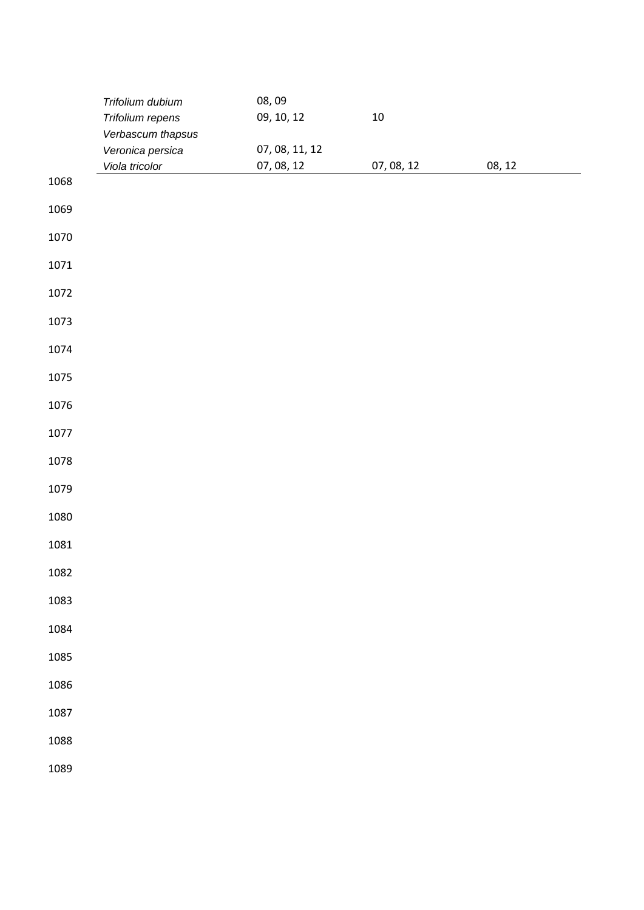| Trifolium dubium  | 08,09                              |                              |            |        |
|-------------------|------------------------------------|------------------------------|------------|--------|
| Trifolium repens  | 09, 10, 12                         | $10\,$                       |            |        |
| Verbascum thapsus |                                    |                              |            |        |
|                   |                                    |                              |            |        |
|                   |                                    |                              |            |        |
|                   |                                    |                              |            |        |
|                   |                                    |                              |            |        |
|                   |                                    |                              |            |        |
|                   |                                    |                              |            |        |
|                   |                                    |                              |            |        |
|                   |                                    |                              |            |        |
|                   |                                    |                              |            |        |
|                   |                                    |                              |            |        |
|                   |                                    |                              |            |        |
|                   |                                    |                              |            |        |
|                   |                                    |                              |            |        |
|                   |                                    |                              |            |        |
|                   |                                    |                              |            |        |
|                   |                                    |                              |            |        |
|                   |                                    |                              |            |        |
|                   |                                    |                              |            |        |
|                   |                                    |                              |            |        |
|                   |                                    |                              |            |        |
|                   |                                    |                              |            |        |
|                   |                                    |                              |            |        |
|                   |                                    |                              |            |        |
|                   |                                    |                              |            |        |
|                   |                                    |                              |            |        |
|                   |                                    |                              |            |        |
|                   |                                    |                              |            |        |
|                   |                                    |                              |            |        |
|                   |                                    |                              |            |        |
|                   |                                    |                              |            |        |
|                   |                                    |                              |            |        |
|                   |                                    |                              |            |        |
|                   | Veronica persica<br>Viola tricolor | 07, 08, 11, 12<br>07, 08, 12 | 07, 08, 12 | 08, 12 |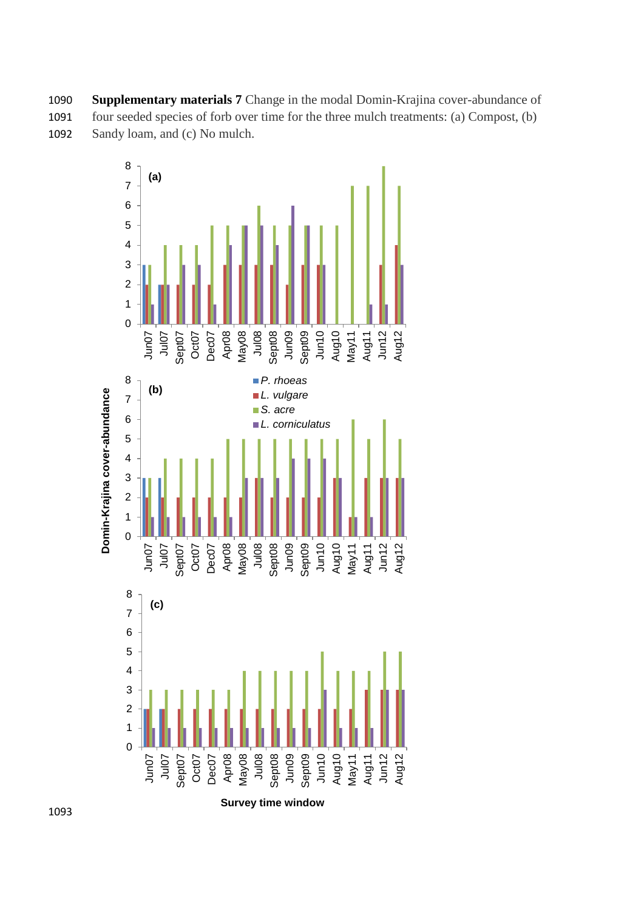1090 **Supplementary materials 7** Change in the modal Domin-Krajina cover-abundance of 1091 four seeded species of forb over time for the three mulch treatments: (a) Compost, (b) 1092 Sandy loam, and (c) No mulch.



**Survey time window**